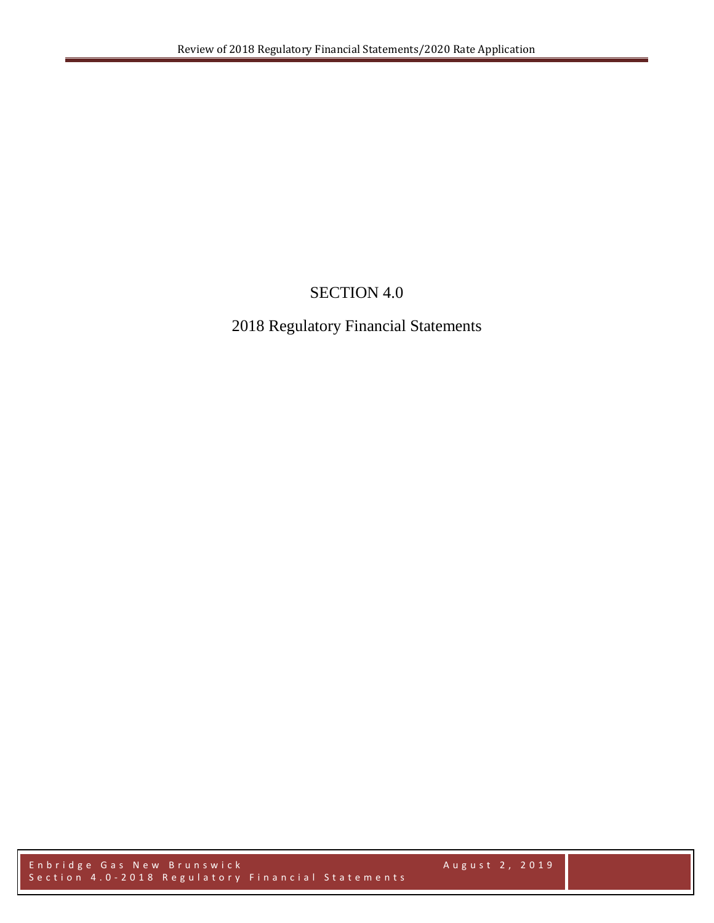# SECTION 4.0

# 2018 Regulatory Financial Statements

Enbridge Gas New Brunswick August 2, 2019 Section 4.0 - 2018 Regulatory Financial Statements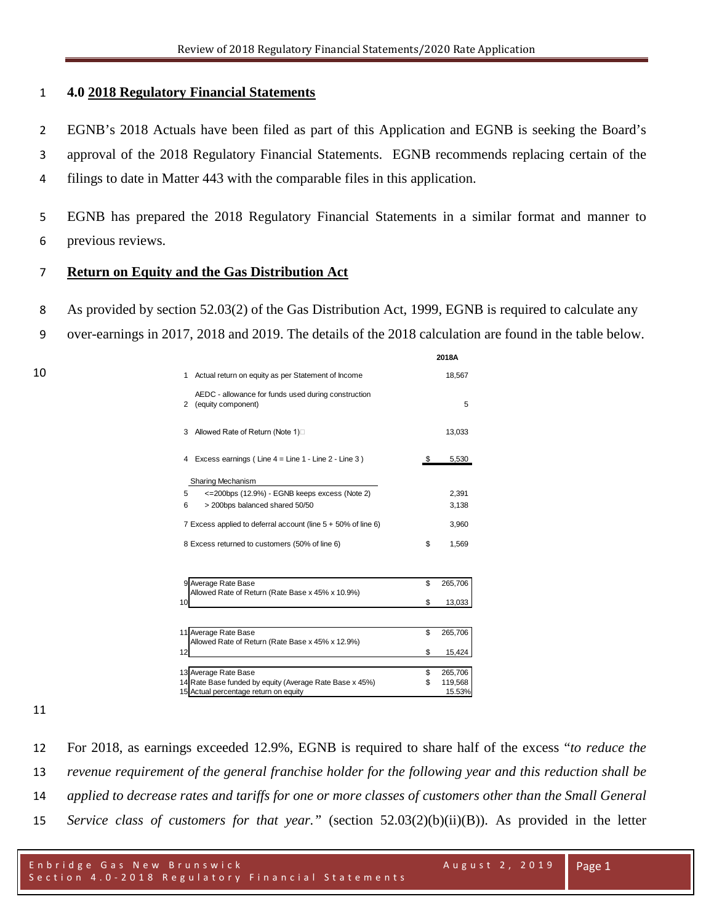# **4.0 2018 Regulatory Financial Statements**

 EGNB's 2018 Actuals have been filed as part of this Application and EGNB is seeking the Board's approval of the 2018 Regulatory Financial Statements. EGNB recommends replacing certain of the

filings to date in Matter 443 with the comparable files in this application.

 EGNB has prepared the 2018 Regulatory Financial Statements in a similar format and manner to previous reviews.

# **Return on Equity and the Gas Distribution Act**

- As provided by section 52.03(2) of the Gas Distribution Act, 1999, EGNB is required to calculate any
- over-earnings in 2017, 2018 and 2019. The details of the 2018 calculation are found in the table below.

|                                                                                | 2018A         |
|--------------------------------------------------------------------------------|---------------|
| Actual return on equity as per Statement of Income<br>1                        | 18,567        |
| AEDC - allowance for funds used during construction<br>(equity component)<br>2 | 5             |
| Allowed Rate of Return (Note 1)□<br>3                                          | 13,033        |
| Excess earnings (Line $4 =$ Line $1 -$ Line $2 -$ Line $3$ )<br>4              | \$<br>5,530   |
| Sharing Mechanism                                                              |               |
| <= 200bps (12.9%) - EGNB keeps excess (Note 2)<br>5                            | 2.391         |
| > 200bps balanced shared 50/50<br>6                                            | 3,138         |
| 7 Excess applied to deferral account (line $5 + 50\%$ of line 6)               | 3,960         |
| 8 Excess returned to customers (50% of line 6)                                 | \$<br>1,569   |
| 9 Average Rate Base<br>Allowed Rate of Return (Rate Base x 45% x 10.9%)        | \$<br>265,706 |
| 10                                                                             | \$<br>13,033  |
|                                                                                |               |
| 11 Average Rate Base                                                           | \$<br>265,706 |
| Allowed Rate of Return (Rate Base x 45% x 12.9%)                               |               |
| 12                                                                             | \$<br>15,424  |
| 13 Average Rate Base                                                           | \$<br>265,706 |
| 14 Rate Base funded by equity (Average Rate Base x 45%)                        | \$<br>119,568 |
| Actual percentage return on equity                                             | 15.53%        |
|                                                                                |               |

 For 2018, as earnings exceeded 12.9%, EGNB is required to share half of the excess "*to reduce the revenue requirement of the general franchise holder for the following year and this reduction shall be applied to decrease rates and tariffs for one or more classes of customers other than the Small General Service class of customers for that year."* (section 52.03(2)(b)(ii)(B)). As provided in the letter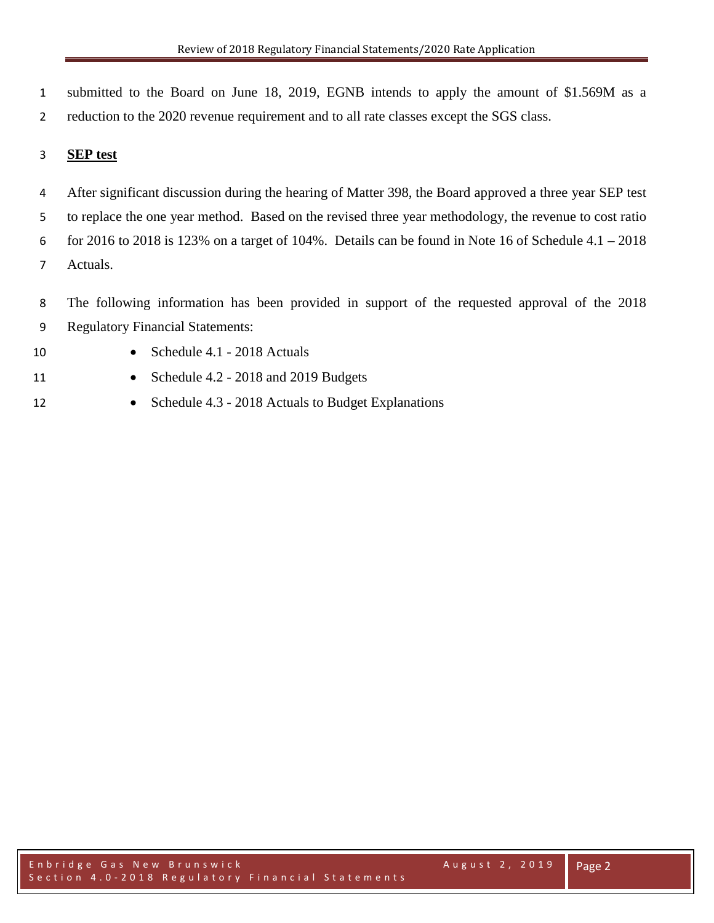1 submitted to the Board on June 18, 2019, EGNB intends to apply the amount of \$1.569M as a 2 reduction to the 2020 revenue requirement and to all rate classes except the SGS class.

# 3 **SEP test**

 After significant discussion during the hearing of Matter 398, the Board approved a three year SEP test to replace the one year method. Based on the revised three year methodology, the revenue to cost ratio for 2016 to 2018 is 123% on a target of 104%. Details can be found in Note 16 of Schedule 4.1 – 2018 Actuals.

8 The following information has been provided in support of the requested approval of the 2018 9 Regulatory Financial Statements:

- 10 Schedule 4.1 2018 Actuals
- 11 Schedule 4.2 2018 and 2019 Budgets
- 12 Schedule 4.3 2018 Actuals to Budget Explanations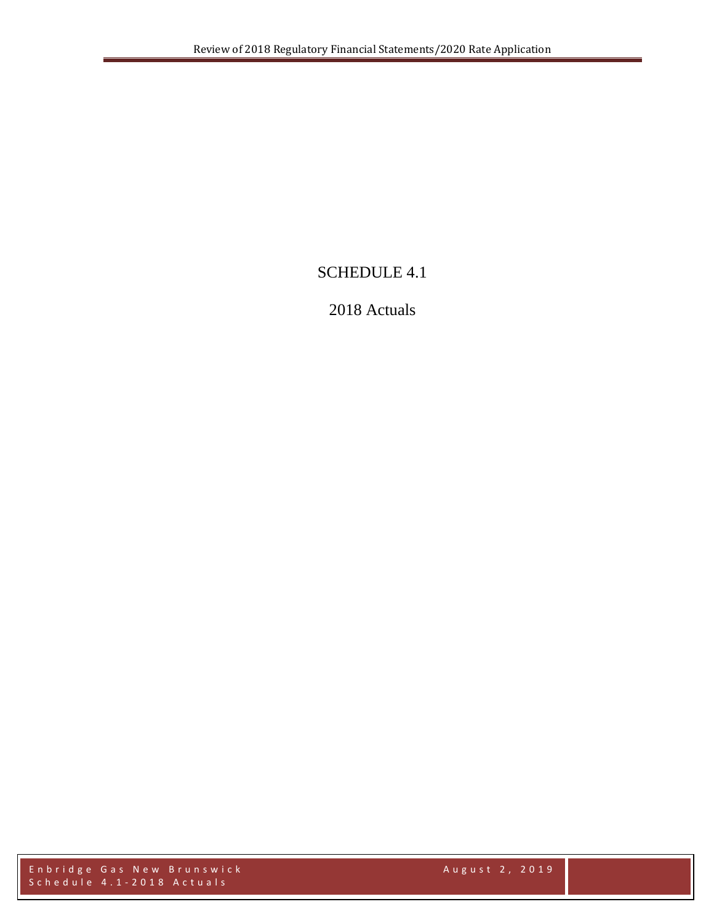# SCHEDULE 4.1

# 2018 Actuals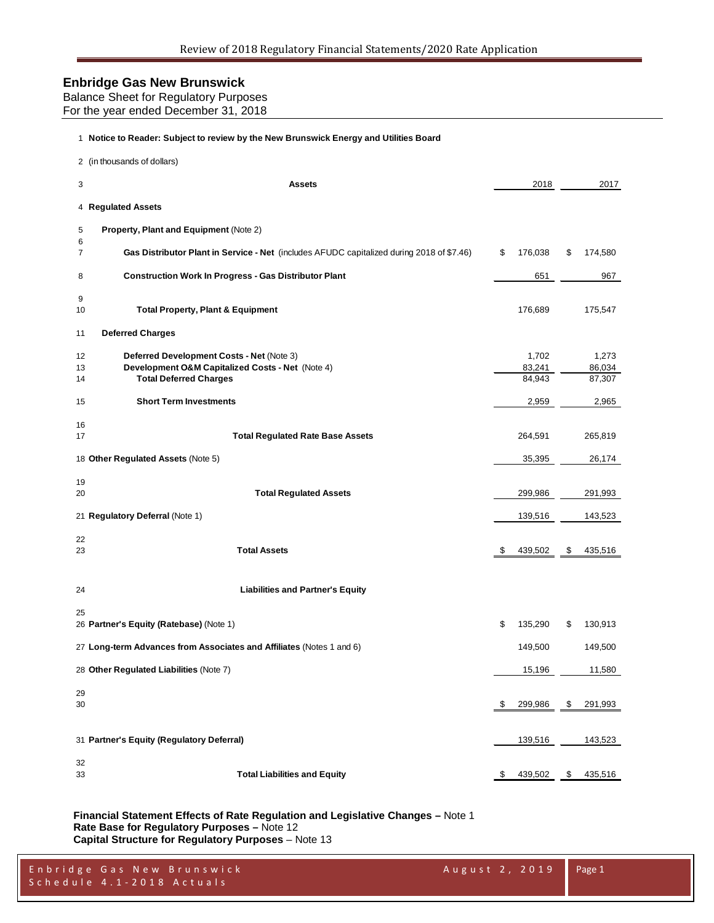| Balance Sheet for Regulatory Purposes |
|---------------------------------------|
| For the year ended December 31, 2018  |

#### **Notice to Reader: Subject to review by the New Brunswick Energy and Utilities Board**

| 3<br>4 Regulated Assets                                                                                                                          | <b>Assets</b>                                                                             | 2018                      | 2017                      |
|--------------------------------------------------------------------------------------------------------------------------------------------------|-------------------------------------------------------------------------------------------|---------------------------|---------------------------|
|                                                                                                                                                  |                                                                                           |                           |                           |
|                                                                                                                                                  |                                                                                           |                           |                           |
| Property, Plant and Equipment (Note 2)<br>5<br>6                                                                                                 |                                                                                           |                           |                           |
| 7                                                                                                                                                | Gas Distributor Plant in Service - Net (includes AFUDC capitalized during 2018 of \$7.46) | \$<br>176,038             | \$<br>174,580             |
| <b>Construction Work In Progress - Gas Distributor Plant</b><br>8                                                                                |                                                                                           | 651                       | 967                       |
| 9<br><b>Total Property, Plant &amp; Equipment</b><br>10                                                                                          |                                                                                           | 176,689                   | 175,547                   |
| <b>Deferred Charges</b><br>11                                                                                                                    |                                                                                           |                           |                           |
| Deferred Development Costs - Net (Note 3)<br>12<br>Development O&M Capitalized Costs - Net (Note 4)<br>13<br><b>Total Deferred Charges</b><br>14 |                                                                                           | 1,702<br>83,241<br>84,943 | 1,273<br>86,034<br>87,307 |
| <b>Short Term Investments</b><br>15                                                                                                              |                                                                                           | 2,959                     | 2,965                     |
| 16<br>17                                                                                                                                         | <b>Total Regulated Rate Base Assets</b>                                                   | 264,591                   | 265,819                   |
| 18 Other Regulated Assets (Note 5)                                                                                                               |                                                                                           | 35,395                    | 26,174                    |
| 19<br>20                                                                                                                                         | <b>Total Regulated Assets</b>                                                             | 299,986                   | 291,993                   |
| 21 Regulatory Deferral (Note 1)                                                                                                                  |                                                                                           | 139,516                   | 143,523                   |
| 22<br><b>Total Assets</b><br>23                                                                                                                  |                                                                                           | \$<br>439,502             | \$<br>435,516             |
| 24                                                                                                                                               | <b>Liabilities and Partner's Equity</b>                                                   |                           |                           |
| 25<br>26 Partner's Equity (Ratebase) (Note 1)                                                                                                    |                                                                                           | \$<br>135,290             | \$<br>130,913             |
| 27 Long-term Advances from Associates and Affiliates (Notes 1 and 6)                                                                             |                                                                                           | 149,500                   | 149,500                   |
| 28 Other Regulated Liabilities (Note 7)                                                                                                          |                                                                                           | 15,196                    | 11,580                    |
| 29<br>30                                                                                                                                         |                                                                                           | \$<br>299,986             | \$<br>291,993             |
| 31 Partner's Equity (Regulatory Deferral)                                                                                                        |                                                                                           | 139,516                   | 143,523                   |
| 32<br><b>Total Liabilities and Equity</b><br>33                                                                                                  |                                                                                           | \$<br>439,502             | \$<br>435,516             |

**Financial Statement Effects of Rate Regulation and Legislative Changes –** Note 1 **Rate Base for Regulatory Purposes –** Note 12 **Capital Structure for Regulatory Purposes** – Note 13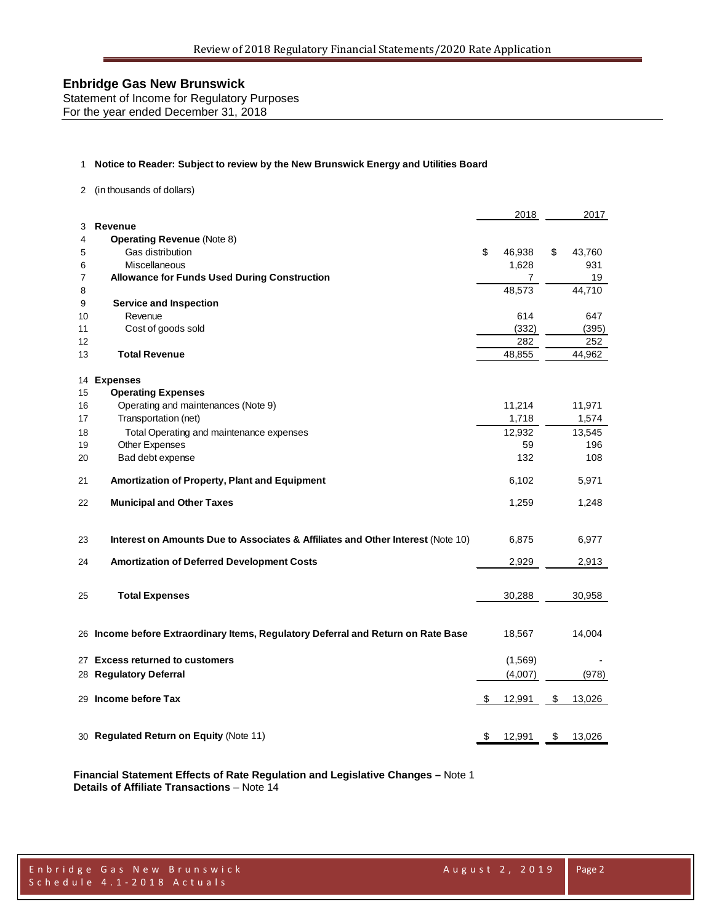Statement of Income for Regulatory Purposes For the year ended December 31, 2018

#### 1 **Notice to Reader: Subject to review by the New Brunswick Energy and Utilities Board**

2 (in thousands of dollars)

|    |                                                                                   |    | 2018           | 2017         |
|----|-----------------------------------------------------------------------------------|----|----------------|--------------|
| 3  | Revenue                                                                           |    |                |              |
| 4  | <b>Operating Revenue (Note 8)</b>                                                 |    |                |              |
| 5  | Gas distribution                                                                  | \$ | 46,938         | \$<br>43,760 |
| 6  | Miscellaneous                                                                     |    | 1,628          | 931          |
| 7  | <b>Allowance for Funds Used During Construction</b>                               |    | $\overline{7}$ | 19           |
| 8  |                                                                                   |    | 48,573         | 44,710       |
| 9  | <b>Service and Inspection</b>                                                     |    |                |              |
| 10 | Revenue                                                                           |    | 614            | 647          |
| 11 | Cost of goods sold                                                                |    | (332)          | (395)        |
| 12 |                                                                                   |    | 282            | 252          |
| 13 | <b>Total Revenue</b>                                                              |    | 48,855         | 44,962       |
| 14 | <b>Expenses</b>                                                                   |    |                |              |
| 15 | <b>Operating Expenses</b>                                                         |    |                |              |
| 16 | Operating and maintenances (Note 9)                                               |    | 11,214         | 11,971       |
| 17 | Transportation (net)                                                              |    | 1,718          | 1,574        |
| 18 | Total Operating and maintenance expenses                                          |    | 12,932         | 13,545       |
| 19 | Other Expenses                                                                    |    | 59             | 196          |
| 20 | Bad debt expense                                                                  |    | 132            | 108          |
| 21 | Amortization of Property, Plant and Equipment                                     |    | 6,102          | 5,971        |
| 22 | <b>Municipal and Other Taxes</b>                                                  |    | 1,259          | 1,248        |
| 23 | Interest on Amounts Due to Associates & Affiliates and Other Interest (Note 10)   |    | 6,875          | 6,977        |
| 24 | <b>Amortization of Deferred Development Costs</b>                                 |    | 2,929          | 2,913        |
|    |                                                                                   |    |                |              |
| 25 | <b>Total Expenses</b>                                                             |    | 30,288         | 30,958       |
|    |                                                                                   |    |                |              |
|    | 26 Income before Extraordinary Items, Regulatory Deferral and Return on Rate Base |    | 18,567         | 14,004       |
| 27 | <b>Excess returned to customers</b>                                               |    | (1,569)        |              |
|    | 28 Regulatory Deferral                                                            |    | (4,007)        | (978)        |
|    |                                                                                   |    |                |              |
|    | 29 Income before Tax                                                              | S  | 12,991         | \$<br>13,026 |
|    |                                                                                   |    |                |              |
|    | 30 Regulated Return on Equity (Note 11)                                           | \$ | 12,991         | \$<br>13,026 |

**Financial Statement Effects of Rate Regulation and Legislative Changes –** Note 1 **Details of Affiliate Transactions** – Note 14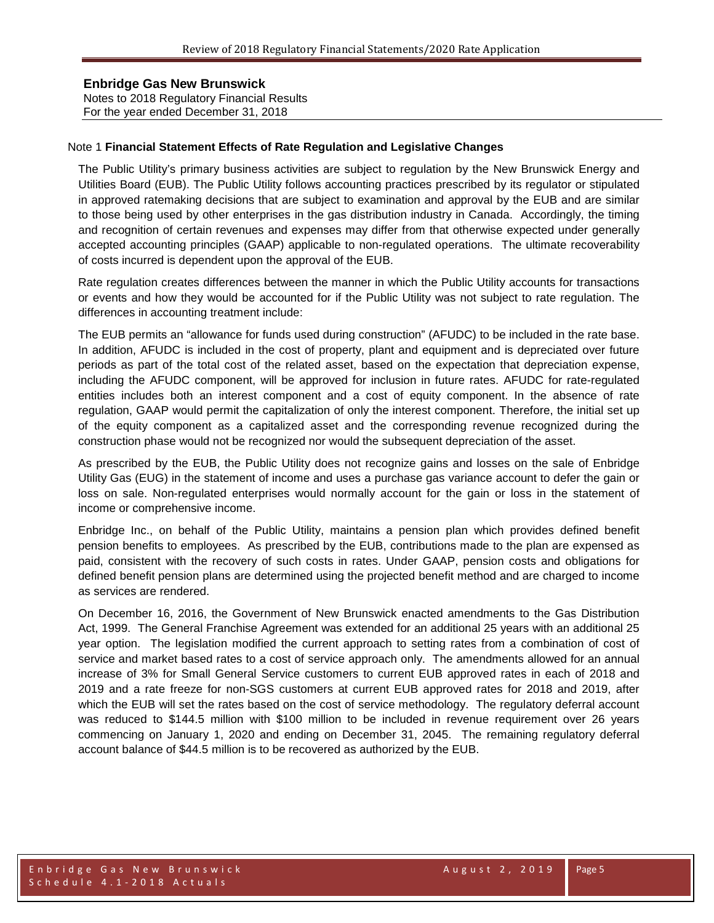Notes to 2018 Regulatory Financial Results For the year ended December 31, 2018

### Note 1 **Financial Statement Effects of Rate Regulation and Legislative Changes**

The Public Utility's primary business activities are subject to regulation by the New Brunswick Energy and Utilities Board (EUB). The Public Utility follows accounting practices prescribed by its regulator or stipulated in approved ratemaking decisions that are subject to examination and approval by the EUB and are similar to those being used by other enterprises in the gas distribution industry in Canada. Accordingly, the timing and recognition of certain revenues and expenses may differ from that otherwise expected under generally accepted accounting principles (GAAP) applicable to non-regulated operations. The ultimate recoverability of costs incurred is dependent upon the approval of the EUB.

Rate regulation creates differences between the manner in which the Public Utility accounts for transactions or events and how they would be accounted for if the Public Utility was not subject to rate regulation. The differences in accounting treatment include:

The EUB permits an "allowance for funds used during construction" (AFUDC) to be included in the rate base. In addition, AFUDC is included in the cost of property, plant and equipment and is depreciated over future periods as part of the total cost of the related asset, based on the expectation that depreciation expense, including the AFUDC component, will be approved for inclusion in future rates. AFUDC for rate-regulated entities includes both an interest component and a cost of equity component. In the absence of rate regulation, GAAP would permit the capitalization of only the interest component. Therefore, the initial set up of the equity component as a capitalized asset and the corresponding revenue recognized during the construction phase would not be recognized nor would the subsequent depreciation of the asset.

As prescribed by the EUB, the Public Utility does not recognize gains and losses on the sale of Enbridge Utility Gas (EUG) in the statement of income and uses a purchase gas variance account to defer the gain or loss on sale. Non-regulated enterprises would normally account for the gain or loss in the statement of income or comprehensive income.

Enbridge Inc., on behalf of the Public Utility, maintains a pension plan which provides defined benefit pension benefits to employees. As prescribed by the EUB, contributions made to the plan are expensed as paid, consistent with the recovery of such costs in rates. Under GAAP, pension costs and obligations for defined benefit pension plans are determined using the projected benefit method and are charged to income as services are rendered.

On December 16, 2016, the Government of New Brunswick enacted amendments to the Gas Distribution Act, 1999. The General Franchise Agreement was extended for an additional 25 years with an additional 25 year option. The legislation modified the current approach to setting rates from a combination of cost of service and market based rates to a cost of service approach only. The amendments allowed for an annual increase of 3% for Small General Service customers to current EUB approved rates in each of 2018 and 2019 and a rate freeze for non-SGS customers at current EUB approved rates for 2018 and 2019, after which the EUB will set the rates based on the cost of service methodology. The regulatory deferral account was reduced to \$144.5 million with \$100 million to be included in revenue requirement over 26 years commencing on January 1, 2020 and ending on December 31, 2045. The remaining regulatory deferral account balance of \$44.5 million is to be recovered as authorized by the EUB.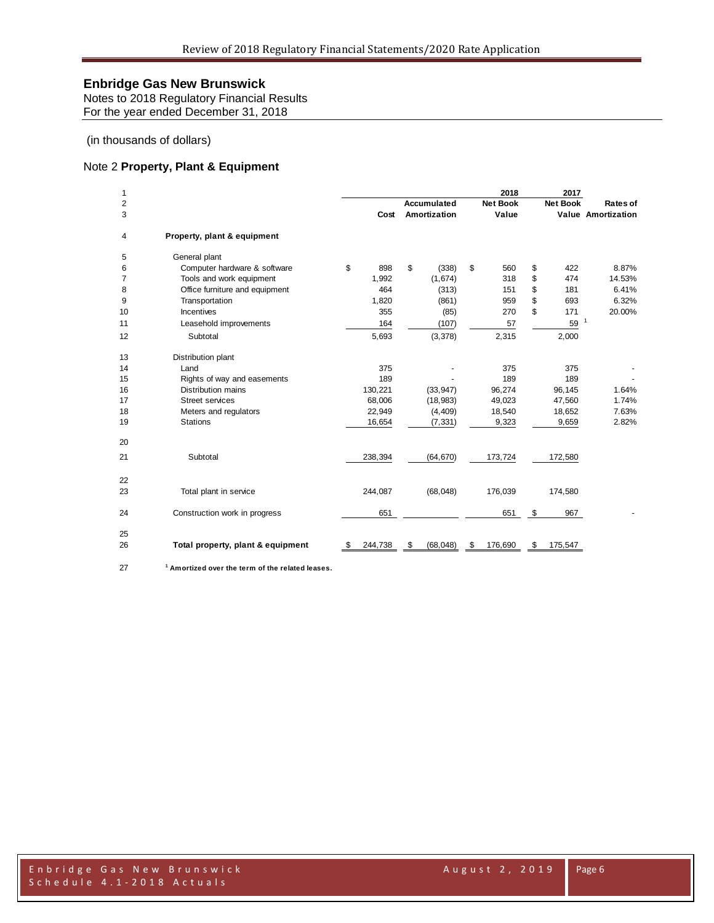Notes to 2018 Regulatory Financial Results For the year ended December 31, 2018

### (in thousands of dollars)

## Note 2 **Property, Plant & Equipment**

| 1      |                                                             |               |                             | 2018                     | 2017            |                                |
|--------|-------------------------------------------------------------|---------------|-----------------------------|--------------------------|-----------------|--------------------------------|
| 2<br>3 |                                                             | Cost          | Accumulated<br>Amortization | <b>Net Book</b><br>Value | <b>Net Book</b> | Rates of<br>Value Amortization |
|        |                                                             |               |                             |                          |                 |                                |
| 4      | Property, plant & equipment                                 |               |                             |                          |                 |                                |
| 5      | General plant                                               |               |                             |                          |                 |                                |
| 6      | Computer hardware & software                                | \$<br>898     | \$<br>(338)                 | \$<br>560                | \$<br>422       | 8.87%                          |
| 7      | Tools and work equipment                                    | 1,992         | (1,674)                     | 318                      | \$<br>474       | 14.53%                         |
| 8      | Office furniture and equipment                              | 464           | (313)                       | 151                      | \$<br>181       | 6.41%                          |
| 9      | Transportation                                              | 1,820         | (861)                       | 959                      | \$<br>693       | 6.32%                          |
| 10     | <b>Incentives</b>                                           | 355           | (85)                        | 270                      | \$<br>171       | 20.00%                         |
| 11     | Leasehold improvements                                      | 164           | (107)                       | 57                       | 59              | $\mathbf{1}$                   |
| 12     | Subtotal                                                    | 5,693         | (3,378)                     | 2,315                    | 2,000           |                                |
| 13     | Distribution plant                                          |               |                             |                          |                 |                                |
| 14     | Land                                                        | 375           |                             | 375                      | 375             |                                |
| 15     | Rights of way and easements                                 | 189           |                             | 189                      | 189             |                                |
| 16     | <b>Distribution mains</b>                                   | 130,221       | (33, 947)                   | 96,274                   | 96,145          | 1.64%                          |
| 17     | <b>Street services</b>                                      | 68,006        | (18, 983)                   | 49,023                   | 47,560          | 1.74%                          |
| 18     | Meters and regulators                                       | 22,949        | (4, 409)                    | 18,540                   | 18,652          | 7.63%                          |
| 19     | <b>Stations</b>                                             | 16,654        | (7, 331)                    | 9,323                    | 9,659           | 2.82%                          |
| 20     |                                                             |               |                             |                          |                 |                                |
| 21     | Subtotal                                                    | 238,394       | (64, 670)                   | 173,724                  | 172,580         |                                |
| 22     |                                                             |               |                             |                          |                 |                                |
| 23     | Total plant in service                                      | 244,087       | (68,048)                    | 176,039                  | 174,580         |                                |
| 24     | Construction work in progress                               | 651           |                             | 651                      | \$<br>967       |                                |
| 25     |                                                             |               |                             |                          |                 |                                |
| 26     | Total property, plant & equipment                           | 244,738<br>S. | (68, 048)<br>\$             | \$<br>176,690            | \$<br>175,547   |                                |
| 27     | <sup>1</sup> Amortized over the term of the related leases. |               |                             |                          |                 |                                |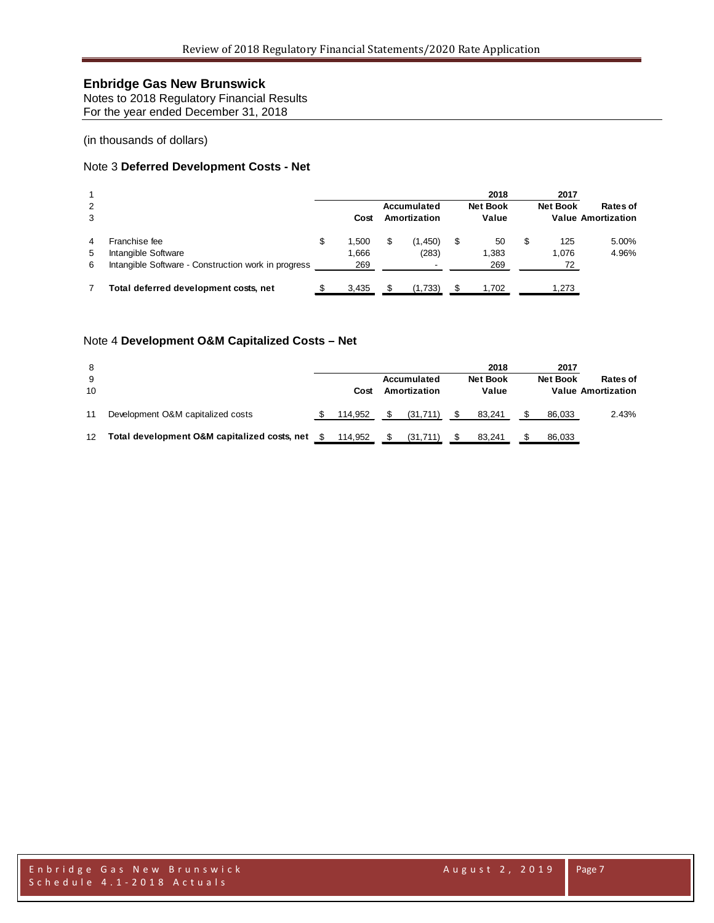Notes to 2018 Regulatory Financial Results For the year ended December 31, 2018

(in thousands of dollars)

### Note 3 **Deferred Development Costs - Net**

| 2<br>3      |                                                                                             |   | Cost                  | Accumulated<br>Amortization | 2018<br><b>Net Book</b><br>Value |   | 2017<br><b>Net Book</b> | Rates of<br><b>Value Amortization</b> |
|-------------|---------------------------------------------------------------------------------------------|---|-----------------------|-----------------------------|----------------------------------|---|-------------------------|---------------------------------------|
| 4<br>5<br>6 | Franchise fee<br>Intangible Software<br>Intangible Software - Construction work in progress | S | 1.500<br>1,666<br>269 | (1,450)<br>(283)            | \$<br>50<br>1,383<br>269         | S | 125<br>1.076<br>72      | 5.00%<br>4.96%                        |
|             | Total deferred development costs, net                                                       |   | 3.435                 | (1,733)                     | 1.702                            |   | 1.273                   |                                       |

### Note 4 **Development O&M Capitalized Costs – Net**

| 8<br>9<br>10      |                                              | Cost    | Accumulated<br>Amortization | 2018<br><b>Net Book</b><br>Value | 2017<br><b>Net Book</b> | Rates of<br><b>Value Amortization</b> |
|-------------------|----------------------------------------------|---------|-----------------------------|----------------------------------|-------------------------|---------------------------------------|
| 11                | Development O&M capitalized costs            | 114.952 | (31.711)                    | 83.241                           | 86.033                  | 2.43%                                 |
| $12 \overline{ }$ | Total development O&M capitalized costs, net | 114.952 | (31, 711)                   | 83.241                           | 86,033                  |                                       |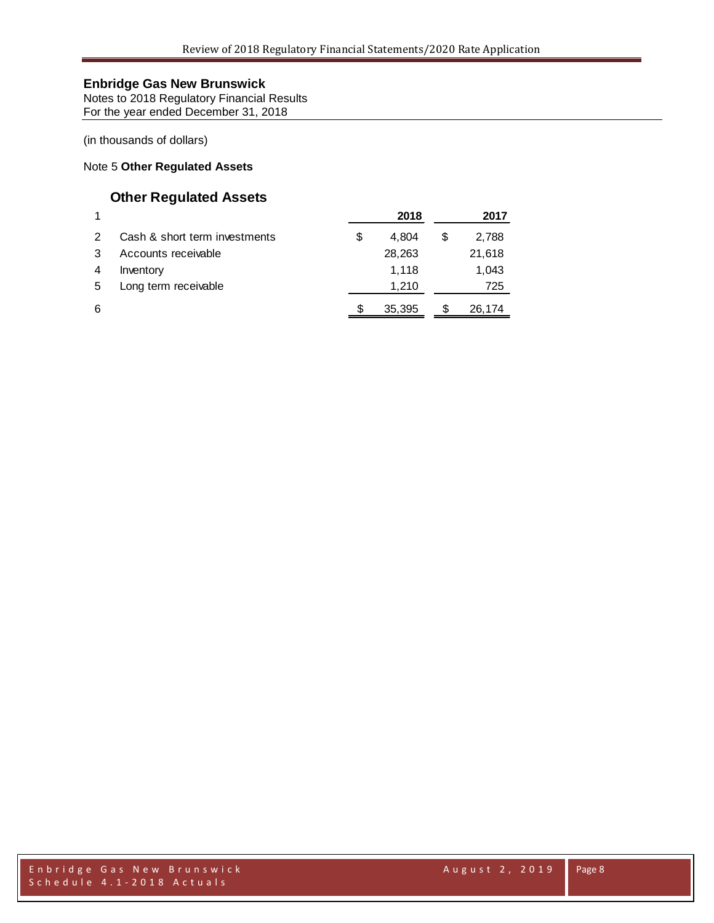Notes to 2018 Regulatory Financial Results For the year ended December 31, 2018

(in thousands of dollars)

## Note 5 **Other Regulated Assets**

# **Other Regulated Assets**

|   |                               | 2018        |   | 2017   |
|---|-------------------------------|-------------|---|--------|
|   | Cash & short term investments | \$<br>4.804 |   | 2,788  |
|   | Accounts receivable           | 28,263      |   | 21,618 |
|   | Inventory                     | 1.118       |   | 1,043  |
| 5 | Long term receivable          | 1.210       |   | 725    |
| 6 |                               | 35,395      | S | 26,174 |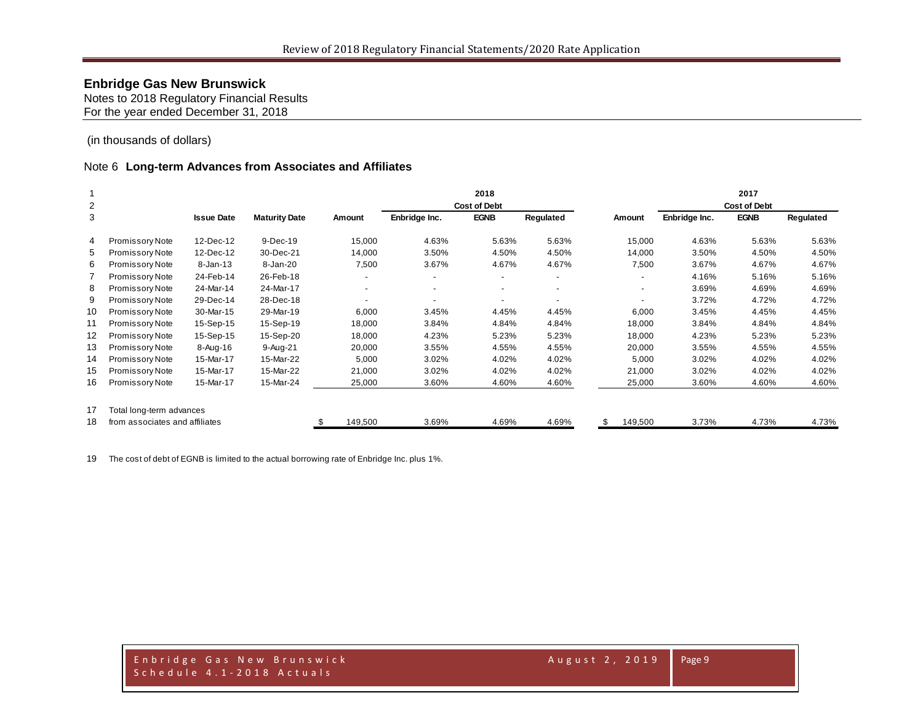Notes to 2018 Regulatory Financial Results For the year ended December 31, 2018

(in thousands of dollars)

#### Note 6 **Long-term Advances from Associates and Affiliates**

|                |                                |                   |                      |                          |                          | 2018                |                          |                          |               | 2017                |           |
|----------------|--------------------------------|-------------------|----------------------|--------------------------|--------------------------|---------------------|--------------------------|--------------------------|---------------|---------------------|-----------|
| $\overline{2}$ |                                |                   |                      |                          |                          | <b>Cost of Debt</b> |                          |                          |               | <b>Cost of Debt</b> |           |
| 3              |                                | <b>Issue Date</b> | <b>Maturity Date</b> | Amount                   | Enbridge Inc.            | <b>EGNB</b>         | Regulated                | Amount                   | Enbridge Inc. | <b>EGNB</b>         | Regulated |
| 4              | Promissory Note                | 12-Dec-12         | 9-Dec-19             | 15,000                   | 4.63%                    | 5.63%               | 5.63%                    | 15,000                   | 4.63%         | 5.63%               | 5.63%     |
| 5              | Promissory Note                | 12-Dec-12         | 30-Dec-21            | 14,000                   | 3.50%                    | 4.50%               | 4.50%                    | 14,000                   | 3.50%         | 4.50%               | 4.50%     |
| 6              | Promissory Note                | 8-Jan-13          | 8-Jan-20             | 7,500                    | 3.67%                    | 4.67%               | 4.67%                    | 7,500                    | 3.67%         | 4.67%               | 4.67%     |
|                | Promissory Note                | 24-Feb-14         | 26-Feb-18            | $\overline{\phantom{0}}$ |                          | ٠                   | $\overline{\phantom{a}}$ | $\overline{\phantom{a}}$ | 4.16%         | 5.16%               | 5.16%     |
| 8              | Promissory Note                | 24-Mar-14         | 24-Mar-17            | $\overline{\phantom{a}}$ | $\overline{\phantom{a}}$ | ۰.                  | $\overline{\phantom{a}}$ | ٠                        | 3.69%         | 4.69%               | 4.69%     |
| 9              | Promissory Note                | 29-Dec-14         | 28-Dec-18            |                          |                          | ۰                   | $\overline{\phantom{a}}$ |                          | 3.72%         | 4.72%               | 4.72%     |
| 10             | Promissory Note                | 30-Mar-15         | 29-Mar-19            | 6,000                    | 3.45%                    | 4.45%               | 4.45%                    | 6,000                    | 3.45%         | 4.45%               | 4.45%     |
| 11             | Promissory Note                | 15-Sep-15         | 15-Sep-19            | 18,000                   | 3.84%                    | 4.84%               | 4.84%                    | 18,000                   | 3.84%         | 4.84%               | 4.84%     |
| $12 \,$        | Promissory Note                | 15-Sep-15         | 15-Sep-20            | 18,000                   | 4.23%                    | 5.23%               | 5.23%                    | 18,000                   | 4.23%         | 5.23%               | 5.23%     |
| 13             | Promissory Note                | 8-Aug-16          | $9-Auq-21$           | 20,000                   | 3.55%                    | 4.55%               | 4.55%                    | 20,000                   | 3.55%         | 4.55%               | 4.55%     |
| 14             | Promissory Note                | 15-Mar-17         | 15-Mar-22            | 5,000                    | 3.02%                    | 4.02%               | 4.02%                    | 5,000                    | 3.02%         | 4.02%               | 4.02%     |
| 15             | Promissory Note                | 15-Mar-17         | 15-Mar-22            | 21,000                   | 3.02%                    | 4.02%               | 4.02%                    | 21,000                   | 3.02%         | 4.02%               | 4.02%     |
| 16             | Promissory Note                | 15-Mar-17         | 15-Mar-24            | 25,000                   | 3.60%                    | 4.60%               | 4.60%                    | 25,000                   | 3.60%         | 4.60%               | 4.60%     |
| 17             | Total long-term advances       |                   |                      |                          |                          |                     |                          |                          |               |                     |           |
| 18             | from associates and affiliates |                   |                      | 149,500                  | 3.69%                    | 4.69%               | 4.69%                    | \$<br>149,500            | 3.73%         | 4.73%               | 4.73%     |

The cost of debt of EGNB is limited to the actual borrowing rate of Enbridge Inc. plus 1%.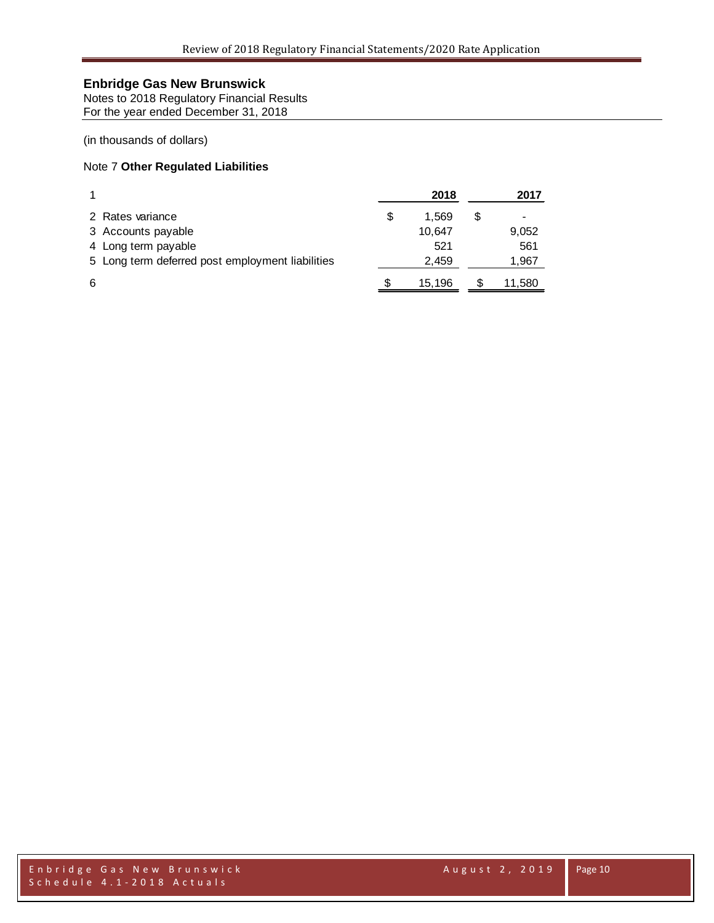Notes to 2018 Regulatory Financial Results For the year ended December 31, 2018

### (in thousands of dollars)

### Note 7 **Other Regulated Liabilities**

|                                                  | 2018   |   | 2017   |
|--------------------------------------------------|--------|---|--------|
| 2 Rates variance                                 | 1.569  |   |        |
| 3 Accounts payable                               | 10,647 |   | 9,052  |
| 4 Long term payable                              | 521    |   | 561    |
| 5 Long term deferred post employment liabilities | 2,459  |   | 1,967  |
| 6                                                | 15,196 | S | 11,580 |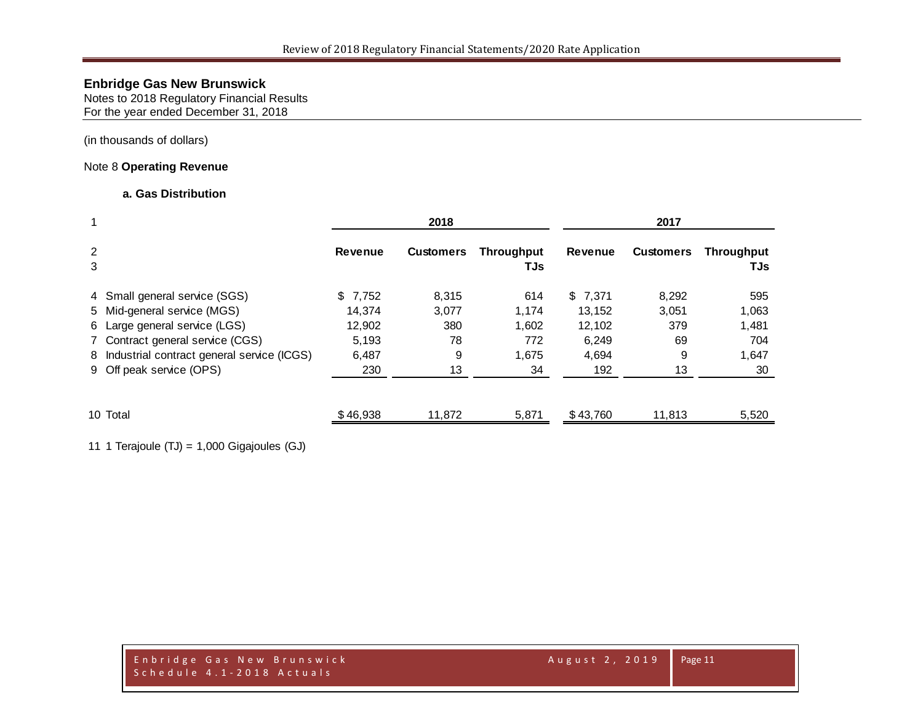Notes to 2018 Regulatory Financial Results For the year ended December 31, 2018

(in thousands of dollars)

### Note 8 **Operating Revenue**

### **a. Gas Distribution**

| $\mathbf 1$ |                                              |                | 2018             |                          |          |                  |                          |
|-------------|----------------------------------------------|----------------|------------------|--------------------------|----------|------------------|--------------------------|
| 2<br>3      |                                              | <b>Revenue</b> | <b>Customers</b> | <b>Throughput</b><br>TJs | Revenue  | <b>Customers</b> | <b>Throughput</b><br>TJs |
|             | 4 Small general service (SGS)                | \$7,752        | 8,315            | 614                      | \$7.371  | 8,292            | 595                      |
|             | 5 Mid-general service (MGS)                  | 14.374         | 3,077            | 1,174                    | 13,152   | 3,051            | 1,063                    |
|             | 6 Large general service (LGS)                | 12,902         | 380              | 1,602                    | 12,102   | 379              | 1,481                    |
|             | 7 Contract general service (CGS)             | 5,193          | 78               | 772                      | 6,249    | 69               | 704                      |
|             | 8 Industrial contract general service (ICGS) | 6,487          | 9                | 1,675                    | 4,694    | 9                | 1,647                    |
|             | 9 Off peak service (OPS)                     | 230            | 13               | 34                       | 192      | 13               | 30                       |
|             | 10 Total                                     | \$46,938       | 11,872           | 5,871                    | \$43,760 | 11,813           | 5,520                    |

11 1 Terajoule (TJ) = 1,000 Gigajoules (GJ)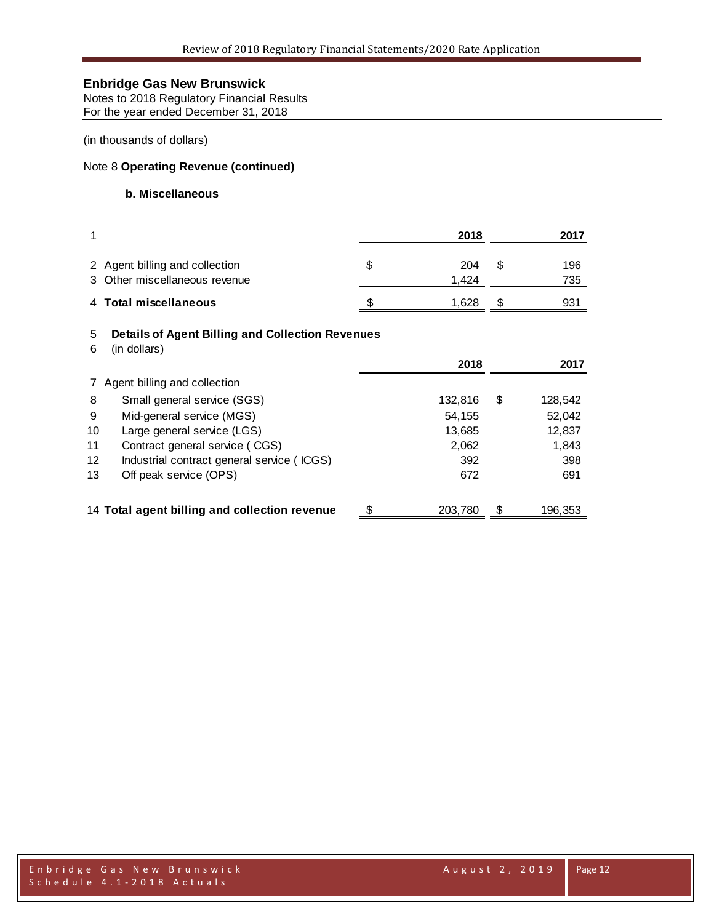Notes to 2018 Regulatory Financial Results For the year ended December 31, 2018

(in thousands of dollars)

### Note 8 **Operating Revenue (continued)**

### **b. Miscellaneous**

| 1      |                                                                         | 2018               |   | 2017       |
|--------|-------------------------------------------------------------------------|--------------------|---|------------|
|        | 2 Agent billing and collection<br>3 Other miscellaneous revenue         | \$<br>204<br>1,424 | S | 196<br>735 |
|        | 4 Total miscellaneous                                                   | 1,628              | S | 931        |
| 5<br>6 | <b>Details of Agent Billing and Collection Revenues</b><br>(in dollars) |                    |   |            |
|        |                                                                         | 2018               |   | 2017       |
|        | 7 Agent billing and collection                                          |                    |   |            |
| 8      | Small general service (SGS)                                             | 132,816            | S | 128,542    |

9 Mid-general service (MGS) 54,155 52,042 10 Large general service (LGS) 13,685 13,685 12,837 11 Contract general service ( CGS) 2,062 2,062 12 Industrial contract general service ( ICGS) 392 398 13 Off peak service (OPS) 691

14 **Total agent billing and collection revenue** \$ 203,780 \$ 196,353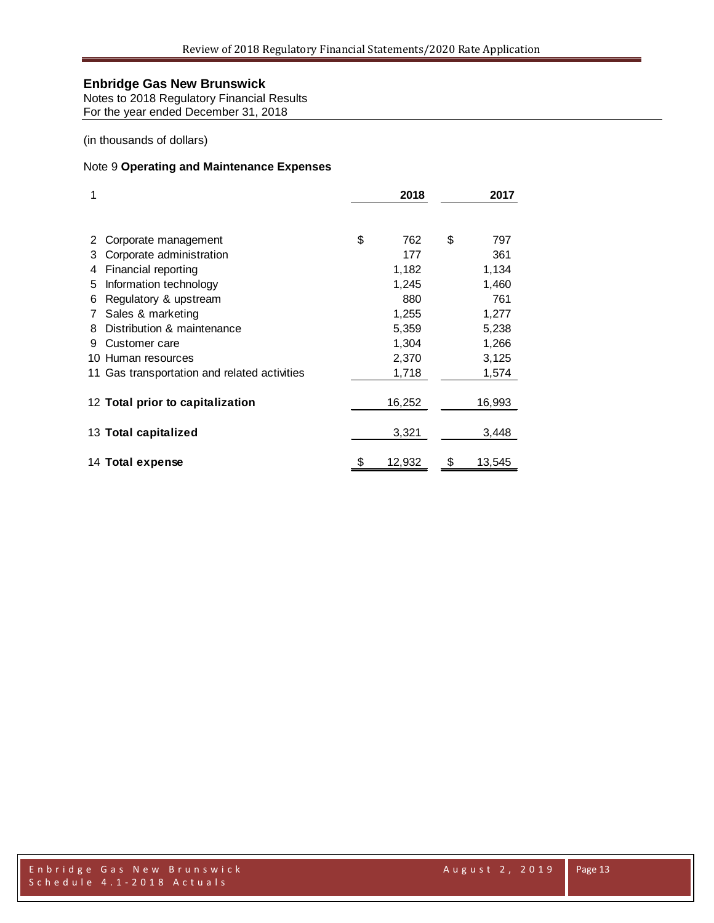Notes to 2018 Regulatory Financial Results For the year ended December 31, 2018

(in thousands of dollars)

### Note 9 **Operating and Maintenance Expenses**

| 1   |                                              | 2018         | 2017 |        |  |  |
|-----|----------------------------------------------|--------------|------|--------|--|--|
|     |                                              |              |      |        |  |  |
| 2   | Corporate management                         | \$<br>762    | \$   | 797    |  |  |
| З   | Corporate administration                     | 177          |      | 361    |  |  |
| 4   | Financial reporting                          | 1,182        |      | 1,134  |  |  |
| 5   | Information technology                       | 1,245        |      | 1,460  |  |  |
| 6   | Regulatory & upstream                        | 880          |      | 761    |  |  |
|     | Sales & marketing                            | 1,255        |      | 1,277  |  |  |
| 8   | Distribution & maintenance                   | 5,359        |      | 5,238  |  |  |
| 9   | Customer care                                | 1,304        |      | 1,266  |  |  |
| 10. | Human resources                              | 2,370        |      | 3,125  |  |  |
|     | 11 Gas transportation and related activities | 1,718        |      | 1,574  |  |  |
|     | 12 Total prior to capitalization             | 16,252       |      | 16,993 |  |  |
|     | 13 Total capitalized                         | 3,321        |      | 3,448  |  |  |
|     | 14 Total expense                             | \$<br>12,932 | \$   | 13,545 |  |  |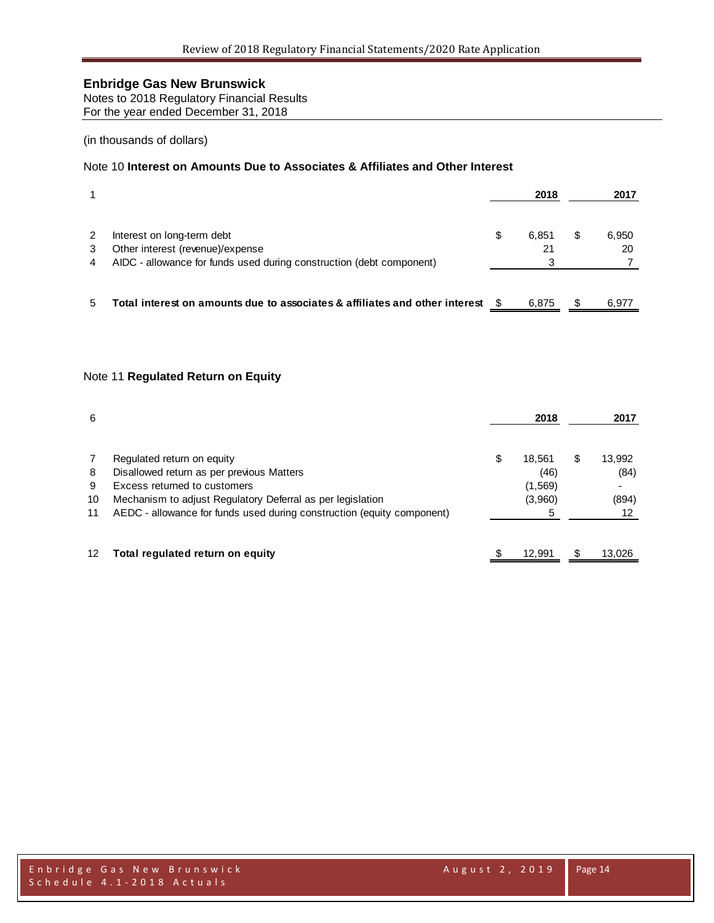Notes to 2018 Regulatory Financial Results For the year ended December 31, 2018

### (in thousands of dollars)

### Note 10 **Interest on Amounts Due to Associates & Affiliates and Other Interest**

|             |                                                                                                                                        |   | 2018        |   | 2017        |
|-------------|----------------------------------------------------------------------------------------------------------------------------------------|---|-------------|---|-------------|
| 2<br>3<br>4 | Interest on long-term debt<br>Other interest (revenue)/expense<br>AIDC - allowance for funds used during construction (debt component) | S | 6.851<br>21 | S | 6,950<br>20 |
| 5           | Total interest on amounts due to associates & affiliates and other interest                                                            |   | 6.875       |   | 6.977       |

### Note 11 **Regulated Return on Equity**

| 6                       |                                                                                                                                                                                                                                                 |   | 2018                                       |     | 2017                          |
|-------------------------|-------------------------------------------------------------------------------------------------------------------------------------------------------------------------------------------------------------------------------------------------|---|--------------------------------------------|-----|-------------------------------|
| 7<br>8<br>9<br>10<br>11 | Regulated return on equity<br>Disallowed return as per previous Matters<br>Excess returned to customers<br>Mechanism to adjust Regulatory Deferral as per legislation<br>AEDC - allowance for funds used during construction (equity component) | S | 18.561<br>(46)<br>(1, 569)<br>(3,960)<br>5 | S   | 13,992<br>(84)<br>(894)<br>12 |
| 12                      | Total regulated return on equity                                                                                                                                                                                                                |   | 12.991                                     | \$. | 13.026                        |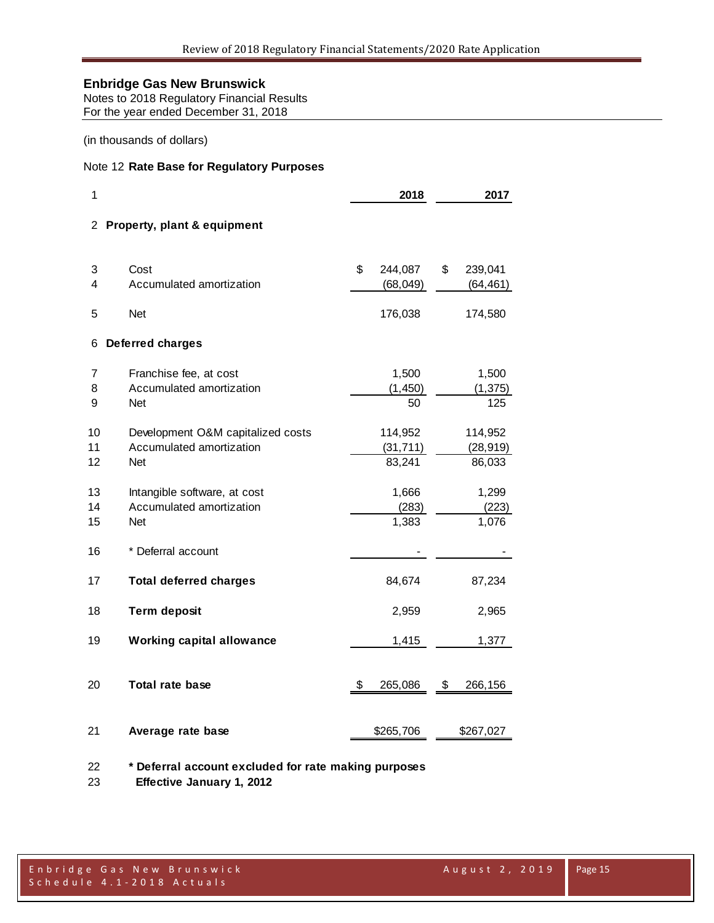Notes to 2018 Regulatory Financial Results For the year ended December 31, 2018

(in thousands of dollars)

### Note 12 **Rate Base for Regulatory Purposes**

| 1              |                                                                        | 2018                           | 2017 |                                |  |  |
|----------------|------------------------------------------------------------------------|--------------------------------|------|--------------------------------|--|--|
| 2              | Property, plant & equipment                                            |                                |      |                                |  |  |
| 3<br>4         | Cost<br>Accumulated amortization                                       | \$<br>244,087<br>(68, 049)     | \$   | 239,041<br>(64, 461)           |  |  |
| 5              | <b>Net</b>                                                             | 176,038                        |      | 174,580                        |  |  |
| 6              | <b>Deferred charges</b>                                                |                                |      |                                |  |  |
| 7<br>8<br>9    | Franchise fee, at cost<br>Accumulated amortization<br><b>Net</b>       | 1,500<br>(1, 450)<br>50        |      | 1,500<br>(1, 375)<br>125       |  |  |
| 10<br>11<br>12 | Development O&M capitalized costs<br>Accumulated amortization<br>Net   | 114,952<br>(31, 711)<br>83,241 |      | 114,952<br>(28, 919)<br>86,033 |  |  |
| 13<br>14<br>15 | Intangible software, at cost<br>Accumulated amortization<br><b>Net</b> | 1,666<br>(283)<br>1,383        |      | 1,299<br>(223)<br>1,076        |  |  |
| 16             | * Deferral account                                                     |                                |      |                                |  |  |
| 17             | <b>Total deferred charges</b>                                          | 84,674                         |      | 87,234                         |  |  |
| 18             | <b>Term deposit</b>                                                    | 2,959                          |      | 2,965                          |  |  |
| 19             | <b>Working capital allowance</b>                                       | 1,415                          |      | 1,377                          |  |  |
| 20             | <b>Total rate base</b>                                                 | \$<br>265,086                  | \$   | 266,156                        |  |  |
| 21             | Average rate base                                                      | \$265,706                      |      | \$267,027                      |  |  |
|                |                                                                        |                                |      |                                |  |  |

**\* Deferral account excluded for rate making purposes**

 **Effective January 1, 2012**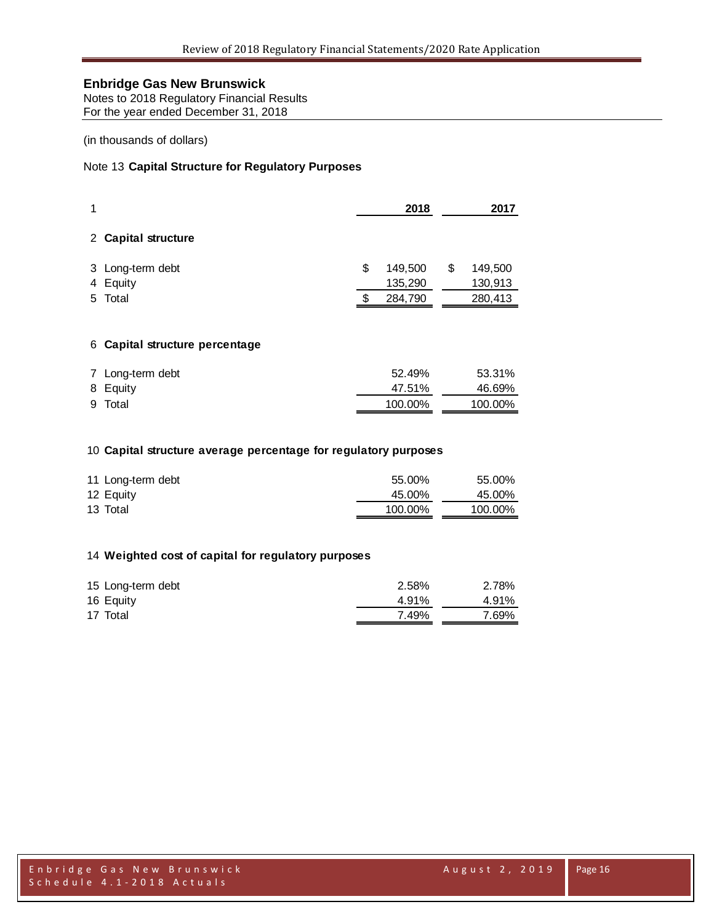Notes to 2018 Regulatory Financial Results For the year ended December 31, 2018

### (in thousands of dollars)

### Note 13 **Capital Structure for Regulatory Purposes**

| 1 |                     | 2018 |         |   | 2017    |
|---|---------------------|------|---------|---|---------|
|   | 2 Capital structure |      |         |   |         |
|   | 3 Long-term debt    | S    | 149,500 | S | 149,500 |
|   | 4 Equity            |      | 135,290 |   | 130,913 |
|   | 5 Total             |      | 284,790 |   | 280,413 |

#### **Capital structure percentage**

| 7 Long-term debt | 52.49%  | 53.31%  |
|------------------|---------|---------|
| 8 Equity         | 47.51%  | 46.69%  |
| 9 Total          | 100.00% | 100.00% |

### **Capital structure average percentage for regulatory purposes**

| 11 Long-term debt | 55.00%  | 55.00%  |
|-------------------|---------|---------|
| 12 Equity         | 45.00%  | 45.00%  |
| 13 Total          | 100.00% | 100.00% |

#### **Weighted cost of capital for regulatory purposes**

| 15 Long-term debt | 2.58% | 2.78% |
|-------------------|-------|-------|
| 16 Equity         | 4.91% | 4.91% |
| 17 Total          | 7.49% | 7.69% |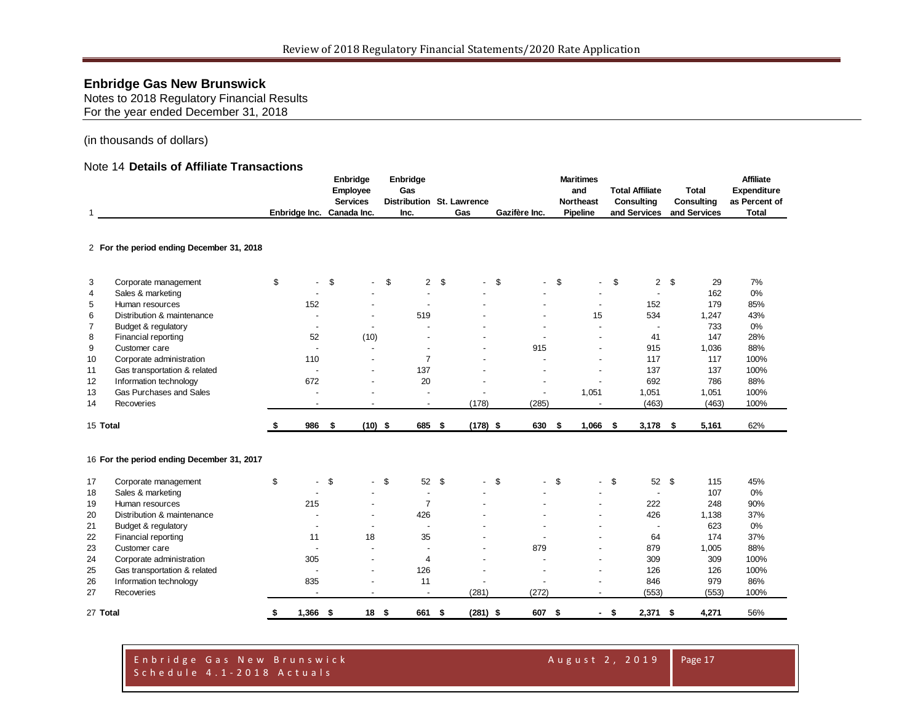Notes to 2018 Regulatory Financial Results For the year ended December 31, 2018

#### (in thousands of dollars)

#### Note 14 **Details of Affiliate Transactions**

| 1              |                                            | Enbridge Inc. Canada Inc. |                          | Enbridge<br>Employee<br><b>Services</b> |                                  |        | Enbridge<br>Gas<br>Inc.  | Distribution St. Lawrence<br>Gas |        | Gazifère Inc.            | <b>Maritimes</b><br>and<br><b>Northeast</b><br>Pipeline |      | <b>Total Affiliate</b><br><b>Consulting</b><br>and Services |      | <b>Total</b><br>Consulting<br>and Services | <b>Affiliate</b><br>Expenditure<br>as Percent of<br><b>Total</b> |
|----------------|--------------------------------------------|---------------------------|--------------------------|-----------------------------------------|----------------------------------|--------|--------------------------|----------------------------------|--------|--------------------------|---------------------------------------------------------|------|-------------------------------------------------------------|------|--------------------------------------------|------------------------------------------------------------------|
|                | 2 For the period ending December 31, 2018  |                           |                          |                                         |                                  |        |                          |                                  |        |                          |                                                         |      |                                                             |      |                                            |                                                                  |
| 3              | Corporate management                       | \$                        | $\overline{\phantom{a}}$ | \$                                      | $\sim$                           | \$     | $\overline{2}$           | \$                               | \$     | $\overline{a}$           | \$<br>$\blacksquare$                                    | \$   | $\overline{2}$                                              | \$   | 29                                         | 7%                                                               |
| $\overline{4}$ | Sales & marketing                          |                           |                          |                                         |                                  |        | $\overline{a}$           |                                  |        |                          | $\overline{\phantom{a}}$                                |      | $\overline{a}$                                              |      | 162                                        | 0%                                                               |
| 5              | Human resources                            |                           | 152                      |                                         |                                  |        |                          |                                  |        |                          | $\overline{\phantom{a}}$                                |      | 152                                                         |      | 179                                        | 85%                                                              |
| 6              | Distribution & maintenance                 |                           |                          |                                         | $\overline{a}$                   |        | 519                      |                                  |        |                          | 15                                                      |      | 534                                                         |      | 1,247                                      | 43%                                                              |
| $\overline{7}$ | Budget & regulatory                        |                           | $\overline{\phantom{a}}$ |                                         | $\overline{\phantom{a}}$         |        |                          |                                  |        |                          | $\overline{a}$                                          |      | $\overline{a}$                                              |      | 733                                        | 0%                                                               |
| 8              | Financial reporting                        |                           | 52                       |                                         | (10)                             |        |                          |                                  |        |                          |                                                         |      | 41                                                          |      | 147                                        | 28%                                                              |
| 9              | Customer care                              |                           |                          |                                         | $\overline{a}$                   |        |                          |                                  |        | 915                      | $\overline{a}$                                          |      | 915                                                         |      | 1,036                                      | 88%                                                              |
| 10             | Corporate administration                   |                           | 110                      |                                         | $\overline{a}$                   |        | $\overline{7}$           |                                  |        |                          | $\overline{a}$                                          |      | 117                                                         |      | 117                                        | 100%                                                             |
| 11             | Gas transportation & related               |                           | $\overline{a}$           |                                         | $\overline{a}$                   |        | 137                      |                                  |        |                          | $\overline{a}$                                          |      | 137                                                         |      | 137                                        | 100%                                                             |
| 12             | Information technology                     |                           | 672                      |                                         | $\overline{a}$                   |        | 20                       |                                  |        | ÷,                       | $\overline{a}$                                          |      | 692                                                         |      | 786                                        | 88%                                                              |
| 13<br>14       | Gas Purchases and Sales<br>Recoveries      |                           | $\blacksquare$           |                                         | $\overline{a}$<br>$\blacksquare$ |        |                          | (178)                            |        | L,<br>(285)              | 1,051<br>$\blacksquare$                                 |      | 1,051<br>(463)                                              |      | 1,051<br>(463)                             | 100%<br>100%                                                     |
|                |                                            |                           |                          |                                         |                                  |        | $\overline{\phantom{a}}$ |                                  |        |                          |                                                         |      |                                                             |      |                                            |                                                                  |
| 15 Total       |                                            |                           | 986                      | \$                                      | $(10)$ \$                        |        | 685 \$                   | $(178)$ \$                       |        | 630                      | \$<br>1,066                                             | \$   | 3,178                                                       | S.   | 5,161                                      | 62%                                                              |
|                | 16 For the period ending December 31, 2017 |                           |                          |                                         |                                  |        |                          |                                  |        |                          |                                                         |      |                                                             |      |                                            |                                                                  |
| 17             | Corporate management                       | \$                        | $\overline{\phantom{a}}$ | \$                                      |                                  | $-$ \$ | 52 \$                    |                                  | $-$ \$ | $\overline{\phantom{0}}$ | \$<br>$\sim$                                            | \$   | 52                                                          | - \$ | 115                                        | 45%                                                              |
| 18             | Sales & marketing                          |                           |                          |                                         |                                  |        | $\blacksquare$           |                                  |        |                          |                                                         |      | $\overline{\phantom{a}}$                                    |      | 107                                        | 0%                                                               |
| 19             | Human resources                            |                           | 215                      |                                         | $\overline{a}$                   |        | $\overline{7}$           |                                  |        |                          | $\overline{a}$                                          |      | 222                                                         |      | 248                                        | 90%                                                              |
| 20             | Distribution & maintenance                 |                           |                          |                                         | $\overline{a}$                   |        | 426                      |                                  |        |                          | $\overline{a}$                                          |      | 426                                                         |      | 1,138                                      | 37%                                                              |
| 21             | Budget & regulatory                        |                           |                          |                                         |                                  |        |                          |                                  |        |                          |                                                         |      |                                                             |      | 623                                        | 0%                                                               |
| 22             | Financial reporting                        |                           | 11                       |                                         | 18                               |        | 35                       |                                  |        |                          |                                                         |      | 64                                                          |      | 174                                        | 37%                                                              |
| 23             | Customer care                              |                           |                          |                                         | $\overline{a}$                   |        |                          |                                  |        | 879                      |                                                         |      | 879                                                         |      | 1,005                                      | 88%                                                              |
| 24             | Corporate administration                   |                           | 305                      |                                         | $\overline{\phantom{a}}$         |        | $\overline{4}$           |                                  |        |                          | $\overline{a}$                                          |      | 309                                                         |      | 309                                        | 100%                                                             |
| 25             | Gas transportation & related               |                           |                          |                                         | ÷,                               |        | 126                      |                                  |        |                          | $\overline{\phantom{a}}$                                |      | 126                                                         |      | 126                                        | 100%                                                             |
| 26             | Information technology                     |                           | 835                      |                                         | $\overline{\phantom{a}}$         |        | 11                       |                                  |        | $\overline{a}$           | $\overline{a}$                                          |      | 846                                                         |      | 979                                        | 86%                                                              |
| 27             | Recoveries                                 |                           | $\blacksquare$           |                                         | $\overline{\phantom{m}}$         |        | $\blacksquare$           | (281)                            |        | (272)                    | $\overline{\phantom{a}}$                                |      | (553)                                                       |      | (553)                                      | 100%                                                             |
| 27 Total       |                                            | \$                        | $1,366$ \$               |                                         | 18 <sup>5</sup>                  |        | 661 \$                   | $(281)$ \$                       |        | 607 \$                   |                                                         | - \$ | $2,371$ \$                                                  |      | 4,271                                      | 56%                                                              |

#### Enbridge Gas New Brunswick August 2, 2019 Schedule 4.1 - 2018 Actuals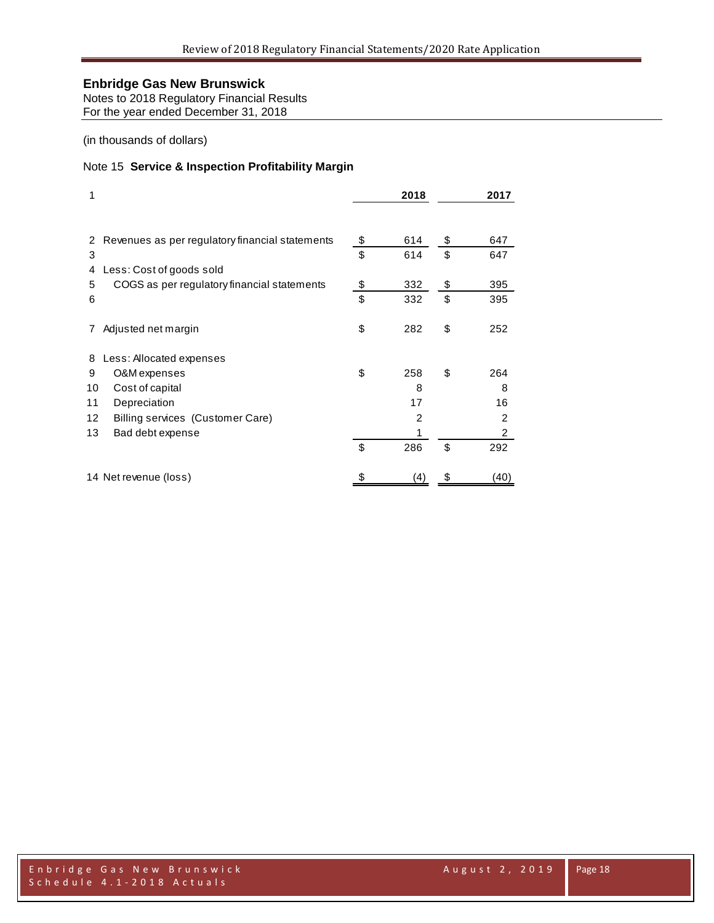Notes to 2018 Regulatory Financial Results For the year ended December 31, 2018

(in thousands of dollars)

### Note 15 **Service & Inspection Profitability Margin**

| 1                                                     | 2018      | 2017           |
|-------------------------------------------------------|-----------|----------------|
| Revenues as per regulatory financial statements<br>2  | \$<br>614 | \$<br>647      |
| 3                                                     | \$<br>614 | \$<br>647      |
| Less: Cost of goods sold<br>4                         |           |                |
| COGS as per regulatory financial statements<br>5      | \$<br>332 | \$<br>395      |
| 6                                                     | \$<br>332 | \$<br>395      |
| Adjusted net margin                                   | \$<br>282 | \$<br>252      |
| Less: Allocated expenses<br>8                         |           |                |
| 9<br>O&M expenses                                     | \$<br>258 | \$<br>264      |
| 10<br>Cost of capital                                 | 8         | 8              |
| 11<br>Depreciation                                    | 17        | 16             |
| $12 \overline{ }$<br>Billing services (Customer Care) | 2         | $\overline{2}$ |
| 13<br>Bad debt expense                                |           | $\overline{2}$ |
|                                                       | \$<br>286 | \$<br>292      |
| 14 Net revenue (loss)                                 | (4)       | 40)            |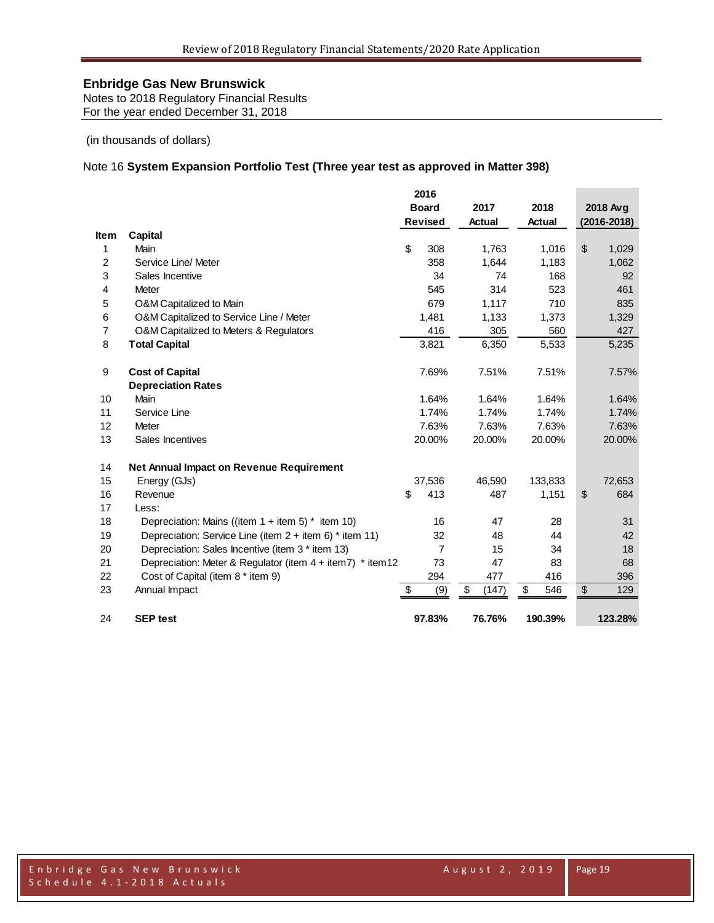Notes to 2018 Regulatory Financial Results For the year ended December 31, 2018

(in thousands of dollars)

### Note 16 **System Expansion Portfolio Test (Three year test as approved in Matter 398)**

|                |                                                                | 2016           |             |           |                 |
|----------------|----------------------------------------------------------------|----------------|-------------|-----------|-----------------|
|                |                                                                | <b>Board</b>   | 2017        | 2018      | 2018 Avg        |
|                |                                                                | <b>Revised</b> | Actual      | Actual    | $(2016 - 2018)$ |
| <b>Item</b>    | Capital                                                        |                |             |           |                 |
| 1              | Main                                                           | \$<br>308      | 1,763       | 1,016     | \$<br>1,029     |
| $\overline{2}$ | Service Line/ Meter                                            | 358            | 1,644       | 1,183     | 1,062           |
| 3              | Sales Incentive                                                | 34             | 74          | 168       | 92              |
| 4              | <b>Meter</b>                                                   | 545            | 314         | 523       | 461             |
| 5              | O&M Capitalized to Main                                        | 679            | 1,117       | 710       | 835             |
| 6              | O&M Capitalized to Service Line / Meter                        | 1,481          | 1,133       | 1,373     | 1,329           |
| $\overline{7}$ | O&M Capitalized to Meters & Regulators                         | 416            | 305         | 560       | 427             |
| 8              | <b>Total Capital</b>                                           | 3,821          | 6,350       | 5,533     | 5,235           |
| 9              | <b>Cost of Capital</b>                                         | 7.69%          | 7.51%       | 7.51%     | 7.57%           |
|                | <b>Depreciation Rates</b>                                      |                |             |           |                 |
| 10             | <b>Main</b>                                                    | 1.64%          | 1.64%       | 1.64%     | 1.64%           |
| 11             | Service Line                                                   | 1.74%          | 1.74%       | 1.74%     | 1.74%           |
| 12             | Meter                                                          | 7.63%          | 7.63%       | 7.63%     | 7.63%           |
| 13             | Sales Incentives                                               | 20.00%         | 20.00%      | 20.00%    | 20.00%          |
| 14             | Net Annual Impact on Revenue Requirement                       |                |             |           |                 |
| 15             | Energy (GJs)                                                   | 37,536         | 46,590      | 133,833   | 72,653          |
| 16             | Revenue                                                        | \$<br>413      | 487         | 1,151     | \$<br>684       |
| 17             | Less:                                                          |                |             |           |                 |
| 18             | Depreciation: Mains ((item $1 +$ item 5) * item 10)            | 16             | 47          | 28        | 31              |
| 19             | Depreciation: Service Line (item 2 + item 6) * item 11)        | 32             | 48          | 44        | 42              |
| 20             | Depreciation: Sales Incentive (item 3 * item 13)               | $\overline{7}$ | 15          | 34        | 18              |
| 21             | Depreciation: Meter & Regulator (item $4 + item 7$ ) * item 12 | 73             | 47          | 83        | 68              |
| 22             | Cost of Capital (item 8 * item 9)                              | 294            | 477         | 416       | 396             |
| 23             | Annual Impact                                                  | \$<br>(9)      | \$<br>(147) | \$<br>546 | \$<br>129       |
| 24             | <b>SEP test</b>                                                | 97.83%         | 76.76%      | 190.39%   | 123.28%         |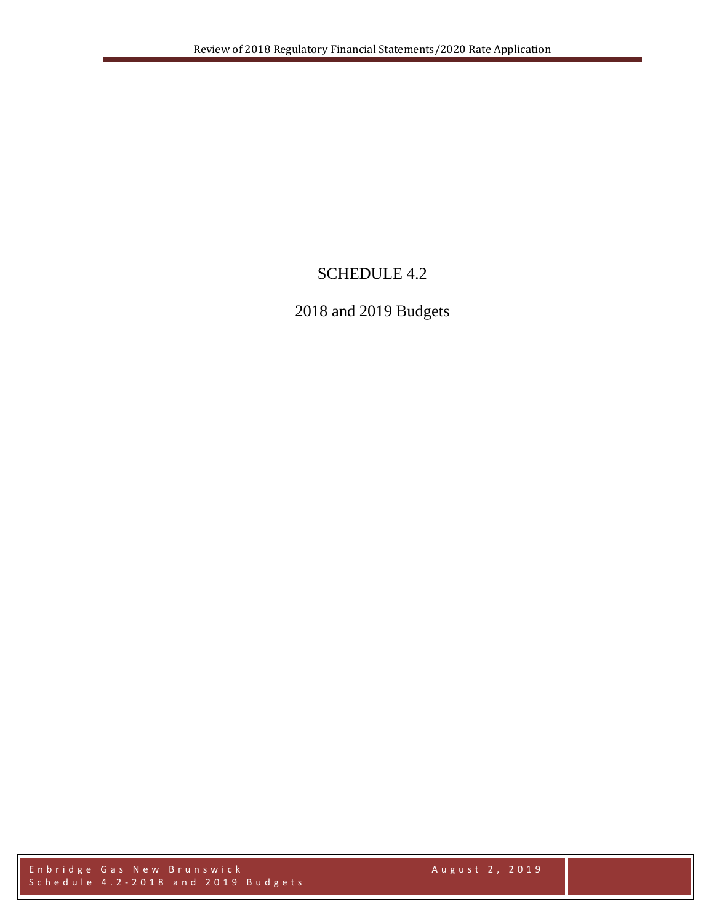# SCHEDULE 4.2

# 2018 and 2019 Budgets

Enbridge Gas New Brunswick August 2 , 2019 Schedule 4.2 - 2018 and 2019 Budgets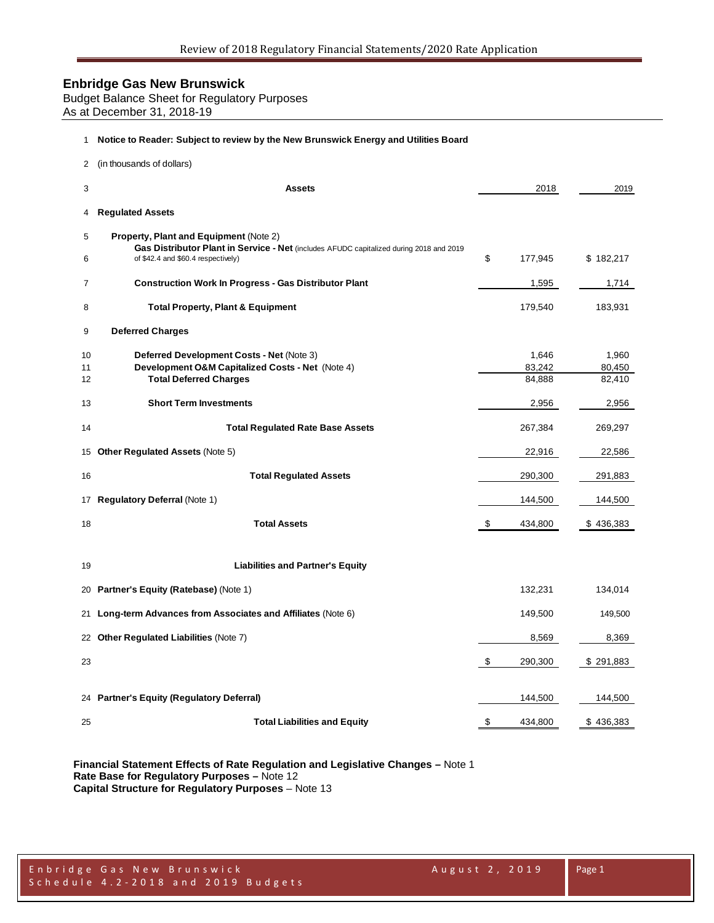Budget Balance Sheet for Regulatory Purposes As at December 31, 2018-19

#### **Notice to Reader: Subject to review by the New Brunswick Energy and Utilities Board**

| 2        | (in thousands of dollars)                                                                                                     |                 |                 |
|----------|-------------------------------------------------------------------------------------------------------------------------------|-----------------|-----------------|
| 3        | <b>Assets</b>                                                                                                                 | 2018            | 2019            |
| 4        | <b>Regulated Assets</b>                                                                                                       |                 |                 |
| 5        | <b>Property, Plant and Equipment (Note 2)</b>                                                                                 |                 |                 |
| 6        | Gas Distributor Plant in Service - Net (includes AFUDC capitalized during 2018 and 2019<br>of \$42.4 and \$60.4 respectively) | \$<br>177,945   | \$182,217       |
| 7        | <b>Construction Work In Progress - Gas Distributor Plant</b>                                                                  | 1,595           | 1,714           |
| 8        | <b>Total Property, Plant &amp; Equipment</b>                                                                                  | 179,540         | 183,931         |
| 9        | <b>Deferred Charges</b>                                                                                                       |                 |                 |
| 10<br>11 | Deferred Development Costs - Net (Note 3)<br>Development O&M Capitalized Costs - Net (Note 4)                                 | 1,646<br>83,242 | 1,960<br>80,450 |
| 12       | <b>Total Deferred Charges</b>                                                                                                 | 84,888          | 82,410          |
| 13       | <b>Short Term Investments</b>                                                                                                 | 2,956           | 2,956           |
| 14       | <b>Total Regulated Rate Base Assets</b>                                                                                       | 267,384         | 269,297         |
|          | 15 Other Regulated Assets (Note 5)                                                                                            | 22,916          | 22,586          |
| 16       | <b>Total Regulated Assets</b>                                                                                                 | 290,300         | 291,883         |
|          | 17 Regulatory Deferral (Note 1)                                                                                               | 144,500         | 144,500         |
| 18       | <b>Total Assets</b>                                                                                                           | \$<br>434,800   | \$436,383       |
|          |                                                                                                                               |                 |                 |
| 19       | <b>Liabilities and Partner's Equity</b>                                                                                       |                 |                 |
| 20       | Partner's Equity (Ratebase) (Note 1)                                                                                          | 132,231         | 134,014         |
| 21       | Long-term Advances from Associates and Affiliates (Note 6)                                                                    | 149,500         | 149,500         |
| 22       | <b>Other Regulated Liabilities (Note 7)</b>                                                                                   | 8,569           | 8,369           |
| 23       |                                                                                                                               | \$<br>290,300   | \$291,883       |
|          | 24 Partner's Equity (Regulatory Deferral)                                                                                     | 144,500         | 144,500         |
|          |                                                                                                                               |                 |                 |
| 25       | <b>Total Liabilities and Equity</b>                                                                                           | \$<br>434,800   | \$436,383       |

**Financial Statement Effects of Rate Regulation and Legislative Changes –** Note 1 **Rate Base for Regulatory Purposes –** Note 12 **Capital Structure for Regulatory Purposes** – Note 13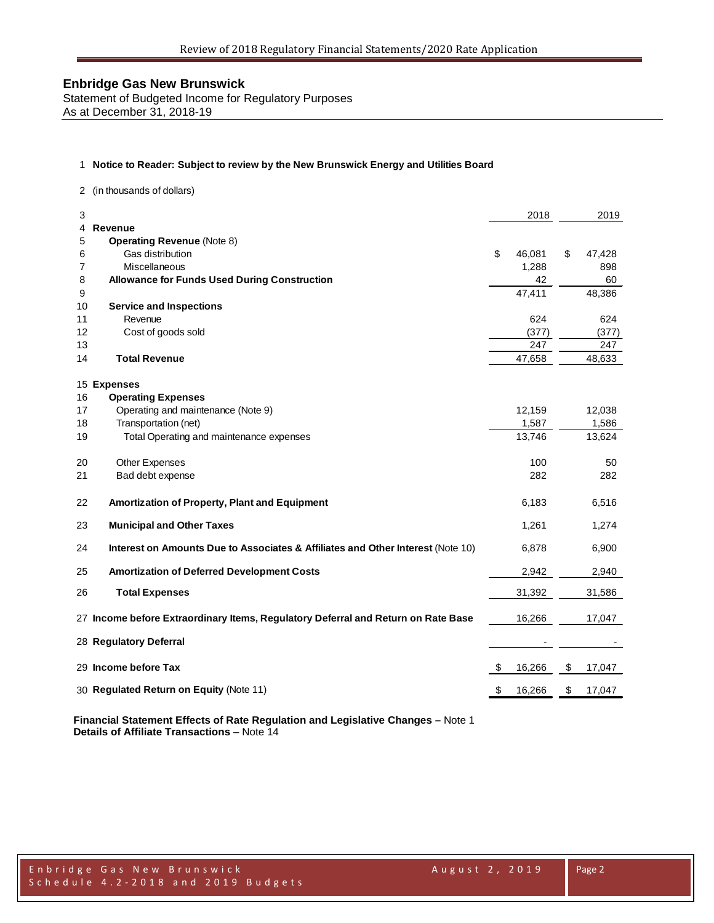Statement of Budgeted Income for Regulatory Purposes As at December 31, 2018-19

### 1 **Notice to Reader: Subject to review by the New Brunswick Energy and Utilities Board**

2 (in thousands of dollars)

| 3  |                                                                                   | 2018         | 2019         |
|----|-----------------------------------------------------------------------------------|--------------|--------------|
| 4  | Revenue                                                                           |              |              |
| 5  | <b>Operating Revenue (Note 8)</b>                                                 |              |              |
| 6  | Gas distribution                                                                  | \$<br>46,081 | \$<br>47,428 |
| 7  | Miscellaneous                                                                     | 1,288        | 898          |
| 8  | <b>Allowance for Funds Used During Construction</b>                               | 42           | 60           |
| 9  |                                                                                   | 47,411       | 48,386       |
| 10 | <b>Service and Inspections</b>                                                    |              |              |
| 11 | Revenue                                                                           | 624          | 624          |
| 12 | Cost of goods sold                                                                | (377)        | (377)        |
| 13 |                                                                                   | 247          | 247          |
| 14 | <b>Total Revenue</b>                                                              | 47,658       | 48,633       |
|    |                                                                                   |              |              |
| 15 | <b>Expenses</b>                                                                   |              |              |
| 16 | <b>Operating Expenses</b>                                                         |              |              |
| 17 | Operating and maintenance (Note 9)                                                | 12,159       | 12,038       |
| 18 | Transportation (net)                                                              | 1,587        | 1,586        |
| 19 | Total Operating and maintenance expenses                                          | 13,746       | 13,624       |
|    |                                                                                   |              |              |
| 20 | Other Expenses                                                                    | 100          | 50           |
| 21 | Bad debt expense                                                                  | 282          | 282          |
|    |                                                                                   |              |              |
| 22 | Amortization of Property, Plant and Equipment                                     | 6,183        | 6,516        |
|    |                                                                                   |              |              |
| 23 | <b>Municipal and Other Taxes</b>                                                  | 1,261        | 1,274        |
| 24 | Interest on Amounts Due to Associates & Affiliates and Other Interest (Note 10)   | 6,878        | 6,900        |
|    |                                                                                   |              |              |
| 25 | <b>Amortization of Deferred Development Costs</b>                                 | 2,942        | 2,940        |
|    |                                                                                   |              |              |
| 26 | <b>Total Expenses</b>                                                             | 31,392       | 31,586       |
|    |                                                                                   |              |              |
|    | 27 Income before Extraordinary Items, Regulatory Deferral and Return on Rate Base | 16,266       | 17,047       |
|    |                                                                                   |              |              |
|    | 28 Regulatory Deferral                                                            |              |              |
|    | 29 Income before Tax                                                              |              |              |
|    |                                                                                   | \$<br>16,266 | \$<br>17,047 |
|    | 30 Regulated Return on Equity (Note 11)                                           | \$<br>16,266 | \$<br>17,047 |
|    |                                                                                   |              |              |

**Financial Statement Effects of Rate Regulation and Legislative Changes –** Note 1 **Details of Affiliate Transactions** – Note 14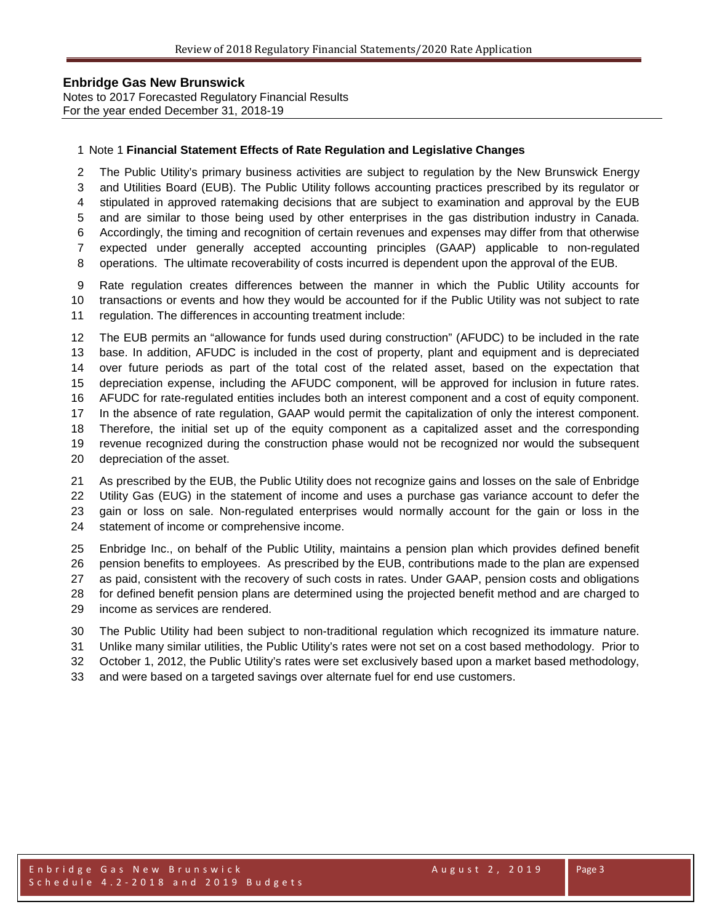Notes to 2017 Forecasted Regulatory Financial Results For the year ended December 31, 2018-19

#### Note 1 **Financial Statement Effects of Rate Regulation and Legislative Changes**

 The Public Utility's primary business activities are subject to regulation by the New Brunswick Energy and Utilities Board (EUB). The Public Utility follows accounting practices prescribed by its regulator or stipulated in approved ratemaking decisions that are subject to examination and approval by the EUB and are similar to those being used by other enterprises in the gas distribution industry in Canada. Accordingly, the timing and recognition of certain revenues and expenses may differ from that otherwise expected under generally accepted accounting principles (GAAP) applicable to non-regulated operations. The ultimate recoverability of costs incurred is dependent upon the approval of the EUB.

 Rate regulation creates differences between the manner in which the Public Utility accounts for transactions or events and how they would be accounted for if the Public Utility was not subject to rate

regulation. The differences in accounting treatment include:

 The EUB permits an "allowance for funds used during construction" (AFUDC) to be included in the rate base. In addition, AFUDC is included in the cost of property, plant and equipment and is depreciated over future periods as part of the total cost of the related asset, based on the expectation that depreciation expense, including the AFUDC component, will be approved for inclusion in future rates. AFUDC for rate-regulated entities includes both an interest component and a cost of equity component. In the absence of rate regulation, GAAP would permit the capitalization of only the interest component. Therefore, the initial set up of the equity component as a capitalized asset and the corresponding revenue recognized during the construction phase would not be recognized nor would the subsequent depreciation of the asset.

 As prescribed by the EUB, the Public Utility does not recognize gains and losses on the sale of Enbridge Utility Gas (EUG) in the statement of income and uses a purchase gas variance account to defer the gain or loss on sale. Non-regulated enterprises would normally account for the gain or loss in the statement of income or comprehensive income.

 Enbridge Inc., on behalf of the Public Utility, maintains a pension plan which provides defined benefit pension benefits to employees. As prescribed by the EUB, contributions made to the plan are expensed as paid, consistent with the recovery of such costs in rates. Under GAAP, pension costs and obligations for defined benefit pension plans are determined using the projected benefit method and are charged to income as services are rendered.

The Public Utility had been subject to non-traditional regulation which recognized its immature nature.

Unlike many similar utilities, the Public Utility's rates were not set on a cost based methodology. Prior to

October 1, 2012, the Public Utility's rates were set exclusively based upon a market based methodology,

and were based on a targeted savings over alternate fuel for end use customers.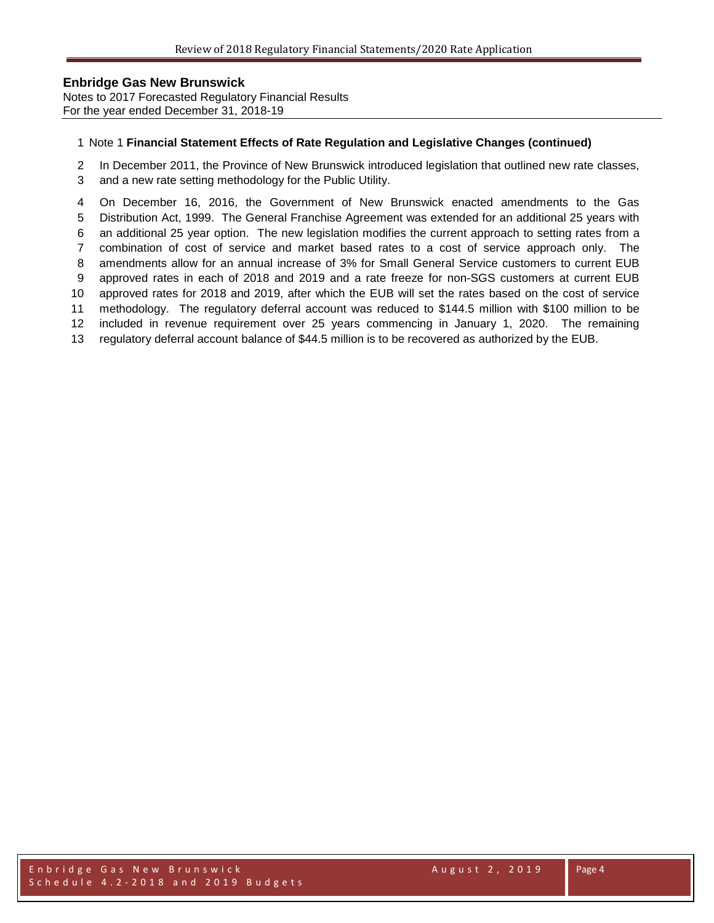Notes to 2017 Forecasted Regulatory Financial Results For the year ended December 31, 2018-19

#### Note 1 **Financial Statement Effects of Rate Regulation and Legislative Changes (continued)**

In December 2011, the Province of New Brunswick introduced legislation that outlined new rate classes,

and a new rate setting methodology for the Public Utility.

 On December 16, 2016, the Government of New Brunswick enacted amendments to the Gas Distribution Act, 1999. The General Franchise Agreement was extended for an additional 25 years with an additional 25 year option. The new legislation modifies the current approach to setting rates from a combination of cost of service and market based rates to a cost of service approach only. The amendments allow for an annual increase of 3% for Small General Service customers to current EUB approved rates in each of 2018 and 2019 and a rate freeze for non-SGS customers at current EUB approved rates for 2018 and 2019, after which the EUB will set the rates based on the cost of service methodology. The regulatory deferral account was reduced to \$144.5 million with \$100 million to be included in revenue requirement over 25 years commencing in January 1, 2020. The remaining regulatory deferral account balance of \$44.5 million is to be recovered as authorized by the EUB.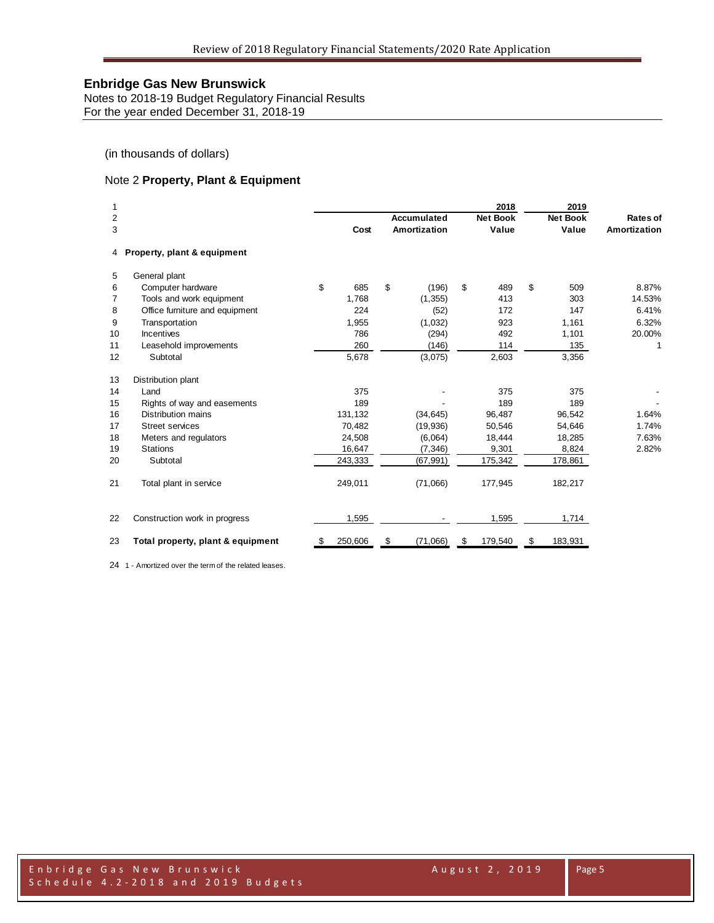Notes to 2018-19 Budget Regulatory Financial Results For the year ended December 31, 2018-19

(in thousands of dollars)

### Note 2 **Property, Plant & Equipment**

| 1  |                                   |    |         |                | 2018            | 2019            |              |
|----|-----------------------------------|----|---------|----------------|-----------------|-----------------|--------------|
| 2  |                                   |    |         | Accumulated    | <b>Net Book</b> | <b>Net Book</b> | Rates of     |
| 3  |                                   |    | Cost    | Amortization   | Value           | Value           | Amortization |
| 4  | Property, plant & equipment       |    |         |                |                 |                 |              |
| 5  | General plant                     |    |         |                |                 |                 |              |
| 6  | Computer hardware                 | \$ | 685     | \$<br>(196)    | \$<br>489       | \$<br>509       | 8.87%        |
| 7  | Tools and work equipment          |    | 1,768   | (1, 355)       | 413             | 303             | 14.53%       |
| 8  | Office furniture and equipment    |    | 224     | (52)           | 172             | 147             | 6.41%        |
| 9  | Transportation                    |    | 1,955   | (1,032)        | 923             | 1,161           | 6.32%        |
| 10 | Incentives                        |    | 786     | (294)          | 492             | 1,101           | 20.00%       |
| 11 | Leasehold improvements            |    | 260     | (146)          | 114             | 135             | 1            |
| 12 | Subtotal                          |    | 5,678   | (3,075)        | 2,603           | 3,356           |              |
| 13 | Distribution plant                |    |         |                |                 |                 |              |
| 14 | Land                              |    | 375     |                | 375             | 375             |              |
| 15 | Rights of way and easements       |    | 189     |                | 189             | 189             |              |
| 16 | Distribution mains                |    | 131,132 | (34, 645)      | 96,487          | 96,542          | 1.64%        |
| 17 | <b>Street services</b>            |    | 70,482  | (19, 936)      | 50,546          | 54,646          | 1.74%        |
| 18 | Meters and regulators             |    | 24,508  | (6,064)        | 18,444          | 18,285          | 7.63%        |
| 19 | <b>Stations</b>                   |    | 16,647  | (7, 346)       | 9,301           | 8,824           | 2.82%        |
| 20 | Subtotal                          |    | 243,333 | (67, 991)      | 175,342         | 178,861         |              |
| 21 | Total plant in service            |    | 249,011 | (71,066)       | 177,945         | 182,217         |              |
| 22 | Construction work in progress     |    | 1,595   |                | 1,595           | 1,714           |              |
| 23 | Total property, plant & equipment | S  | 250,606 | \$<br>(71,066) | \$<br>179,540   | \$<br>183,931   |              |

1 - Amortized over the term of the related leases.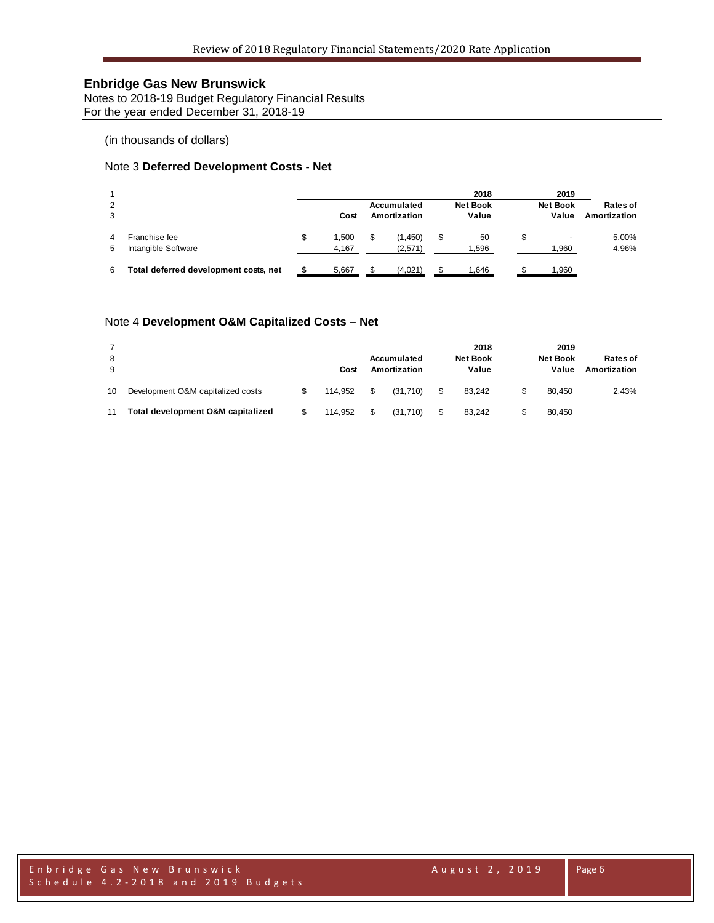Notes to 2018-19 Budget Regulatory Financial Results For the year ended December 31, 2018-19

(in thousands of dollars)

### Note 3 **Deferred Development Costs - Net**

| 2<br>3 |                                       |   | Cost           | Accumulated<br>Amortization | 2018<br><b>Net Book</b><br>Value | 2019<br><b>Net Book</b><br>Value | Rates of<br>Amortization |
|--------|---------------------------------------|---|----------------|-----------------------------|----------------------------------|----------------------------------|--------------------------|
| 4<br>5 | Franchise fee<br>Intangible Software  | S | 1.500<br>4,167 | (1,450)<br>(2,571)          | 50<br>1,596                      | 1,960                            | 5.00%<br>4.96%           |
| 6      | Total deferred development costs, net |   | 5,667          | (4,021)                     | .646                             | 1,960                            |                          |

### Note 4 **Development O&M Capitalized Costs – Net**

| 8<br>9 |                                   | Cost    | Accumulated<br>Amortization | 2018<br><b>Net Book</b><br>Value | 2019<br><b>Net Book</b><br>Value | Rates of<br>Amortization |
|--------|-----------------------------------|---------|-----------------------------|----------------------------------|----------------------------------|--------------------------|
| 10     | Development O&M capitalized costs | 114.952 | (31.710)                    | 83.242                           | 80.450                           | 2.43%                    |
| 11     | Total development O&M capitalized | 114.952 | (31.710)                    | 83.242                           | 80,450                           |                          |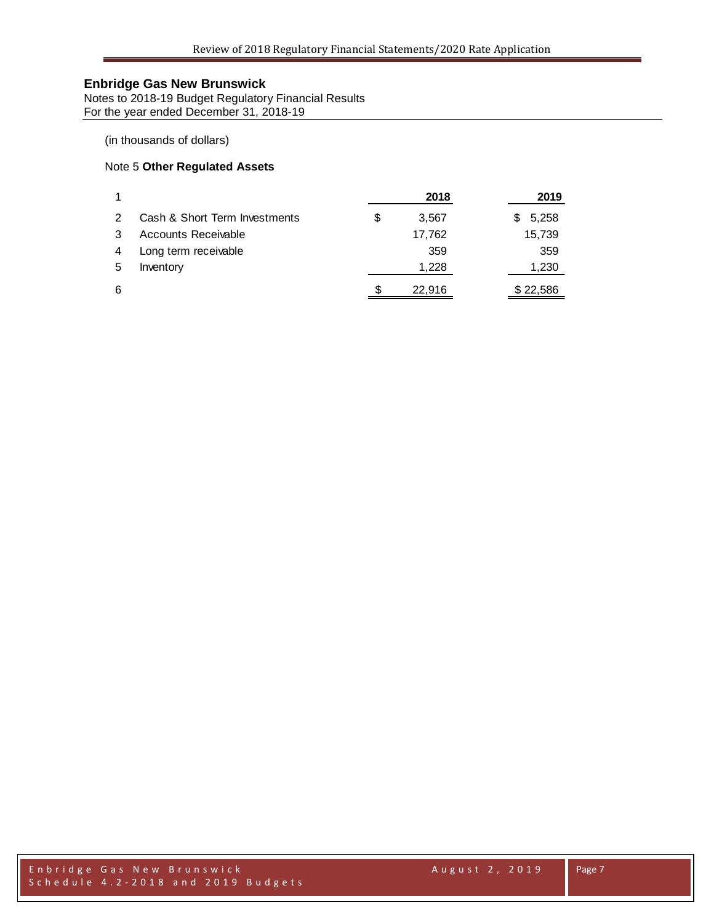Notes to 2018-19 Budget Regulatory Financial Results For the year ended December 31, 2018-19

### (in thousands of dollars)

### Note 5 **Other Regulated Assets**

|   |                               |   | 2018   | 2019       |
|---|-------------------------------|---|--------|------------|
| 2 | Cash & Short Term Investments | S | 3.567  | 5,258<br>S |
|   | Accounts Receivable           |   | 17,762 | 15,739     |
| 4 | Long term receivable          |   | 359    | 359        |
| 5 | Inventory                     |   | 1,228  | 1,230      |
| 6 |                               | S | 22,916 | \$22,586   |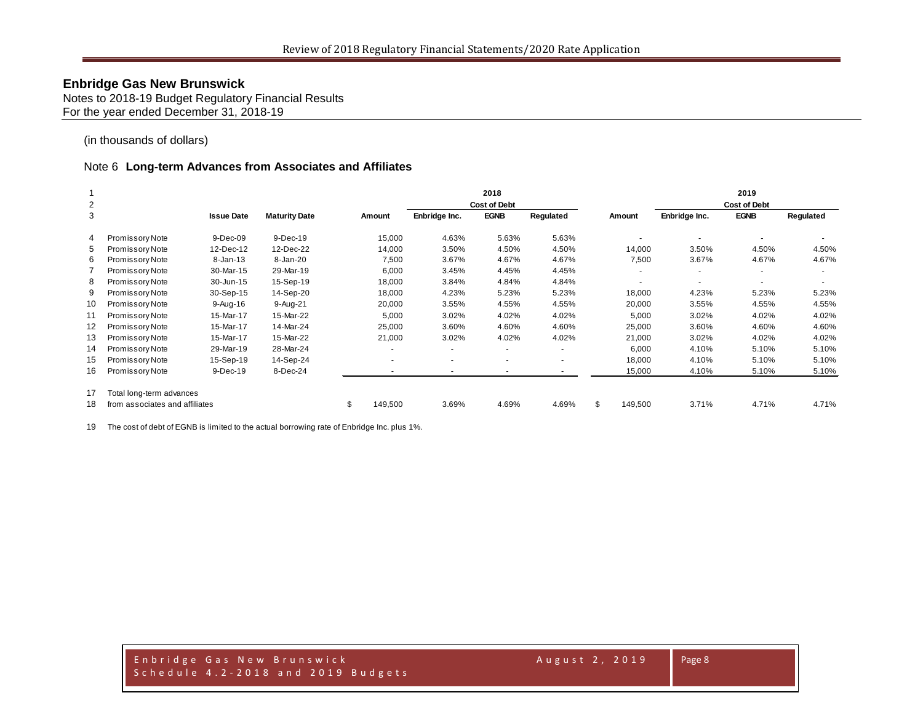Notes to 2018-19 Budget Regulatory Financial Results For the year ended December 31, 2018-19

(in thousands of dollars)

#### Note 6 **Long-term Advances from Associates and Affiliates**

|    |                                |                   |                      |                          |               | 2018                |           |               |               | 2019                |           |
|----|--------------------------------|-------------------|----------------------|--------------------------|---------------|---------------------|-----------|---------------|---------------|---------------------|-----------|
| 2  |                                |                   |                      |                          |               | <b>Cost of Debt</b> |           |               |               | <b>Cost of Debt</b> |           |
| 3  |                                | <b>Issue Date</b> | <b>Maturity Date</b> | Amount                   | Enbridge Inc. | <b>EGNB</b>         | Regulated | Amount        | Enbridge Inc. | <b>EGNB</b>         | Regulated |
| 4  | Promissory Note                | 9-Dec-09          | 9-Dec-19             | 15,000                   | 4.63%         | 5.63%               | 5.63%     |               |               |                     |           |
| 5  | Promissory Note                | 12-Dec-12         | 12-Dec-22            | 14,000                   | 3.50%         | 4.50%               | 4.50%     | 14,000        | 3.50%         | 4.50%               | 4.50%     |
| 6  | Promissory Note                | 8-Jan-13          | 8-Jan-20             | 7,500                    | 3.67%         | 4.67%               | 4.67%     | 7,500         | 3.67%         | 4.67%               | 4.67%     |
|    | Promissory Note                | 30-Mar-15         | 29-Mar-19            | 6,000                    | 3.45%         | 4.45%               | 4.45%     |               |               |                     |           |
| 8  | Promissory Note                | 30-Jun-15         | 15-Sep-19            | 18,000                   | 3.84%         | 4.84%               | 4.84%     |               |               |                     |           |
| 9  | Promissory Note                | 30-Sep-15         | 14-Sep-20            | 18,000                   | 4.23%         | 5.23%               | 5.23%     | 18,000        | 4.23%         | 5.23%               | 5.23%     |
| 10 | Promissory Note                | 9-Aug-16          | 9-Aug-21             | 20,000                   | 3.55%         | 4.55%               | 4.55%     | 20,000        | 3.55%         | 4.55%               | 4.55%     |
| 11 | Promissory Note                | 15-Mar-17         | 15-Mar-22            | 5,000                    | 3.02%         | 4.02%               | 4.02%     | 5,000         | 3.02%         | 4.02%               | 4.02%     |
| 12 | Promissory Note                | 15-Mar-17         | 14-Mar-24            | 25,000                   | 3.60%         | 4.60%               | 4.60%     | 25,000        | 3.60%         | 4.60%               | 4.60%     |
| 13 | Promissory Note                | 15-Mar-17         | 15-Mar-22            | 21,000                   | 3.02%         | 4.02%               | 4.02%     | 21,000        | 3.02%         | 4.02%               | 4.02%     |
| 14 | Promissory Note                | 29-Mar-19         | 28-Mar-24            | $\overline{\phantom{a}}$ |               |                     |           | 6,000         | 4.10%         | 5.10%               | 5.10%     |
| 15 | Promissory Note                | 15-Sep-19         | 14-Sep-24            | $\overline{\phantom{a}}$ | ۰             |                     |           | 18,000        | 4.10%         | 5.10%               | 5.10%     |
| 16 | Promissory Note                | 9-Dec-19          | 8-Dec-24             |                          |               |                     |           | 15,000        | 4.10%         | 5.10%               | 5.10%     |
| 17 | Total long-term advances       |                   |                      |                          |               |                     |           |               |               |                     |           |
| 18 | from associates and affiliates |                   |                      | \$<br>149,500            | 3.69%         | 4.69%               | 4.69%     | \$<br>149,500 | 3.71%         | 4.71%               | 4.71%     |

The cost of debt of EGNB is limited to the actual borrowing rate of Enbridge Inc. plus 1%.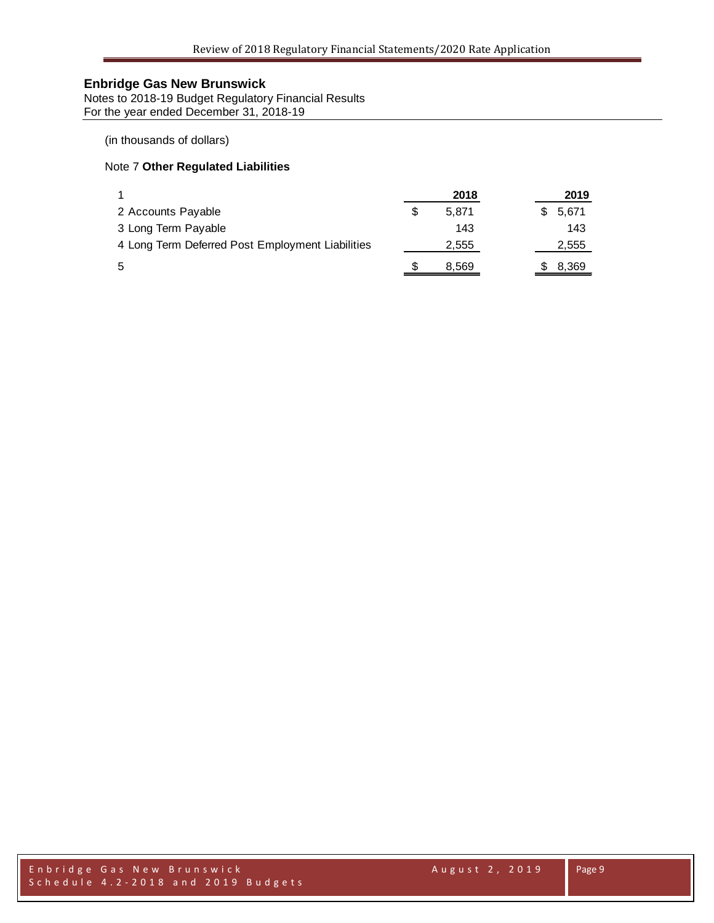Notes to 2018-19 Budget Regulatory Financial Results For the year ended December 31, 2018-19

(in thousands of dollars)

### Note 7 **Other Regulated Liabilities**

|                                                  | 2018  |  | 2019  |
|--------------------------------------------------|-------|--|-------|
| 2 Accounts Payable                               | 5.871 |  | 5,671 |
| 3 Long Term Payable                              | 143   |  | 143   |
| 4 Long Term Deferred Post Employment Liabilities | 2,555 |  | 2,555 |
| 5                                                | 8,569 |  | 8,369 |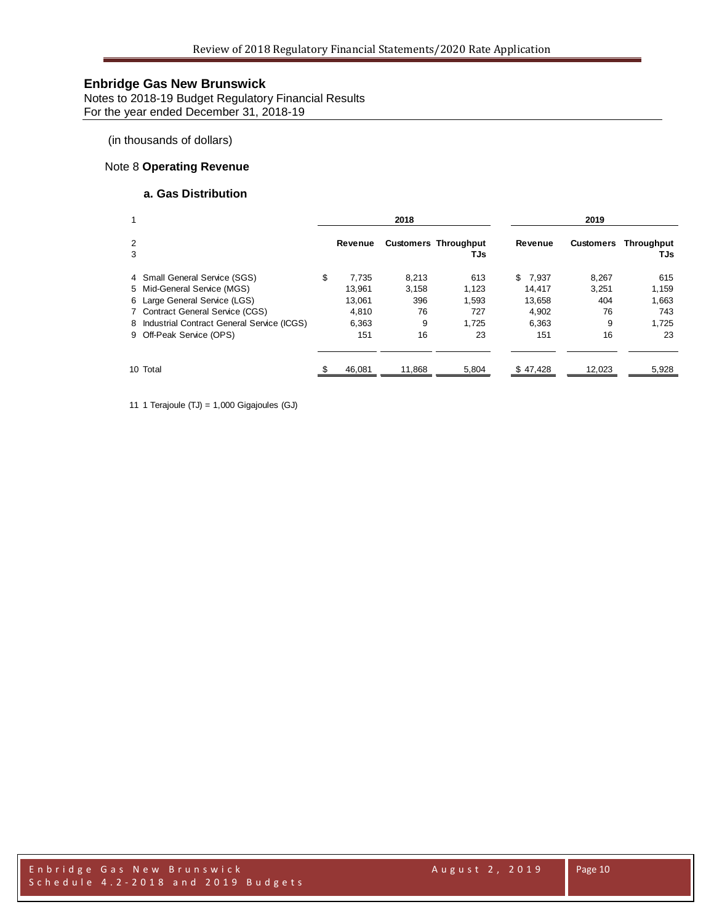Notes to 2018-19 Budget Regulatory Financial Results For the year ended December 31, 2018-19

(in thousands of dollars)

### Note 8 **Operating Revenue**

### **a. Gas Distribution**

| 1      |                                              |             | 2018<br>2019 |                                    |    |          |           |                          |
|--------|----------------------------------------------|-------------|--------------|------------------------------------|----|----------|-----------|--------------------------|
| 2<br>3 |                                              | Revenue     |              | <b>Customers Throughput</b><br>TJs |    | Revenue  | Customers | <b>Throughput</b><br>TJs |
|        | 4 Small General Service (SGS)                | \$<br>7.735 | 8.213        | 613                                | S. | 7.937    | 8.267     | 615                      |
|        | 5 Mid-General Service (MGS)                  | 13.961      | 3,158        | 1,123                              |    | 14.417   | 3,251     | 1,159                    |
|        | 6 Large General Service (LGS)                | 13.061      | 396          | 1.593                              |    | 13.658   | 404       | 1.663                    |
|        | 7 Contract General Service (CGS)             | 4.810       | 76           | 727                                |    | 4,902    | 76        | 743                      |
|        | 8 Industrial Contract General Service (ICGS) | 6.363       | 9            | 1.725                              |    | 6.363    | 9         | 1.725                    |
|        | 9 Off-Peak Service (OPS)                     | 151         | 16           | 23                                 |    | 151      | 16        | 23                       |
|        | 10 Total                                     | 46,081      | 11,868       | 5,804                              |    | \$47,428 | 12,023    | 5,928                    |

11 1 Terajoule (TJ) = 1,000 Gigajoules (GJ)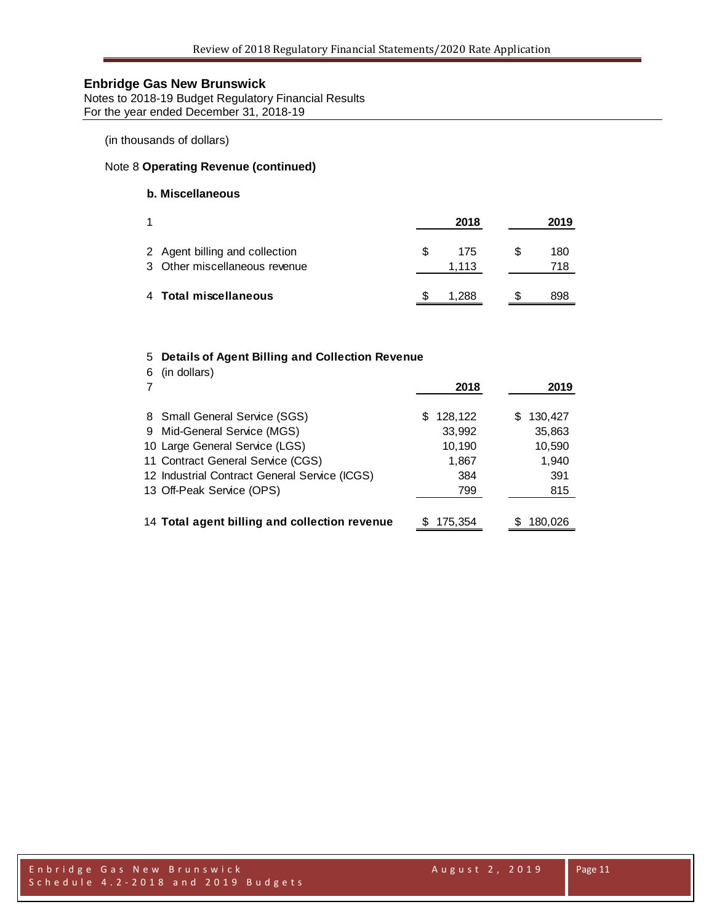Notes to 2018-19 Budget Regulatory Financial Results For the year ended December 31, 2018-19

(in thousands of dollars)

# Note 8 **Operating Revenue (continued)**

# **b. Miscellaneous**

|                                                                 | 2018               | 2019       |
|-----------------------------------------------------------------|--------------------|------------|
| 2 Agent billing and collection<br>3 Other miscellaneous revenue | 175<br>æ.<br>1.113 | 180<br>718 |
| 4 Total miscellaneous                                           | 288                | 898        |

#### 5 **Details of Agent Billing and Collection Revenue**

| (in dollars)<br>6                             | 2018          | 2019         |
|-----------------------------------------------|---------------|--------------|
| 8 Small General Service (SGS)                 | 128,122<br>S  | 130,427<br>S |
| 9 Mid-General Service (MGS)                   | 33,992        | 35,863       |
| 10 Large General Service (LGS)                | 10,190        | 10,590       |
| 11 Contract General Service (CGS)             | 1,867         | 1,940        |
| 12 Industrial Contract General Service (ICGS) | 384           | 391          |
| 13 Off-Peak Service (OPS)                     | 799           | 815          |
|                                               |               |              |
| 14 Total agent billing and collection revenue | 175.354<br>S. | 180.026      |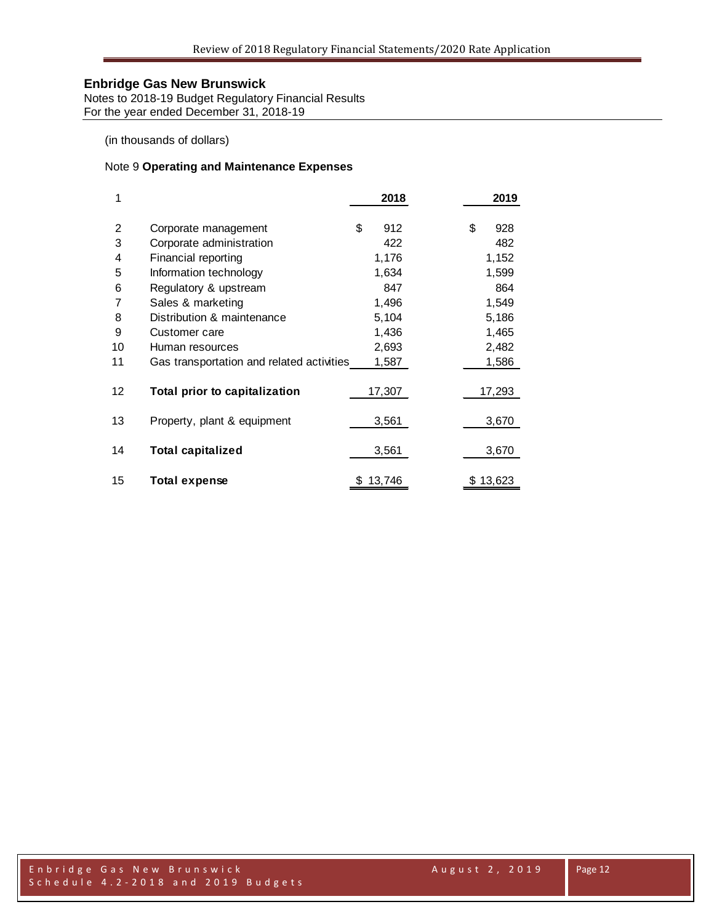Notes to 2018-19 Budget Regulatory Financial Results For the year ended December 31, 2018-19

(in thousands of dollars)

### Note 9 **Operating and Maintenance Expenses**

| 1                 |                                           | 2018        | 2019      |
|-------------------|-------------------------------------------|-------------|-----------|
| 2                 | Corporate management                      | \$<br>912   | \$<br>928 |
| 3                 | Corporate administration                  | 422         | 482       |
| 4                 | Financial reporting                       | 1,176       | 1,152     |
| 5                 | Information technology                    | 1,634       | 1,599     |
| 6                 | Regulatory & upstream                     | 847         | 864       |
| 7                 | Sales & marketing                         | 1,496       | 1,549     |
| 8                 | Distribution & maintenance                | 5,104       | 5,186     |
| 9                 | Customer care                             | 1,436       | 1,465     |
| 10                | Human resources                           | 2,693       | 2,482     |
| 11                | Gas transportation and related activities | 1,587       | 1,586     |
| $12 \overline{ }$ | Total prior to capitalization             | 17,307      | 17,293    |
| 13                | Property, plant & equipment               | 3,561       | 3,670     |
| 14                | <b>Total capitalized</b>                  | 3,561       | 3,670     |
| 15                | <b>Total expense</b>                      | 13,746<br>S | \$13,623  |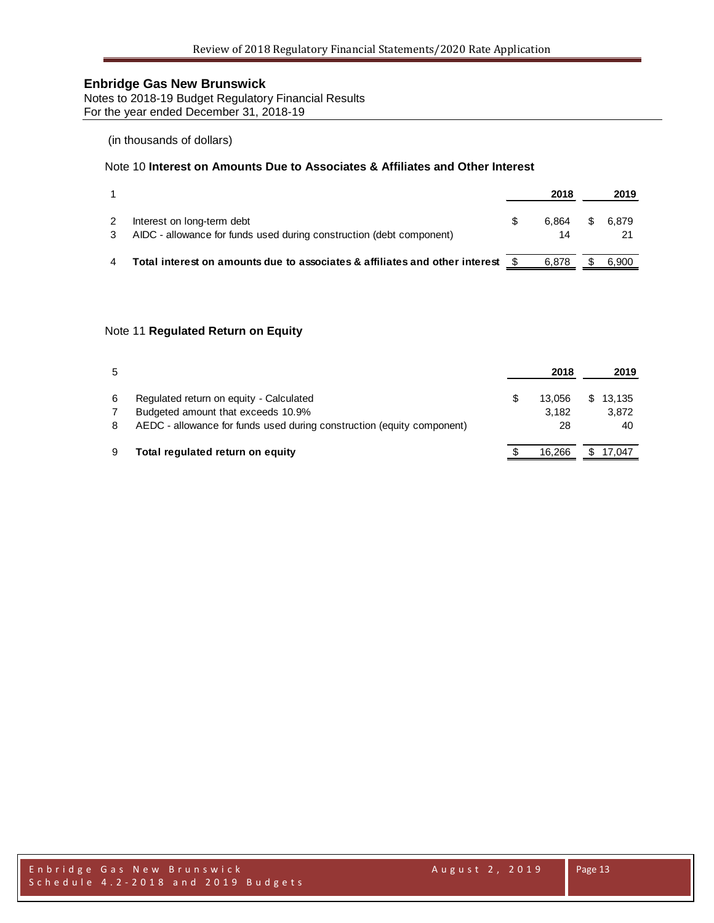Notes to 2018-19 Budget Regulatory Financial Results For the year ended December 31, 2018-19

### (in thousands of dollars)

## Note 10 **Interest on Amounts Due to Associates & Affiliates and Other Interest**

|                                                                                                    | 2018        |    | 2019  |
|----------------------------------------------------------------------------------------------------|-------------|----|-------|
| Interest on long-term debt<br>AIDC - allowance for funds used during construction (debt component) | 6.864<br>14 | S. | 6.879 |
| Total interest on amounts due to associates & affiliates and other interest                        | 6.878       |    | 6.900 |

### Note 11 **Regulated Return on Equity**

| 5 |                                                                        | 2018   | 2019     |    |
|---|------------------------------------------------------------------------|--------|----------|----|
| 6 | Regulated return on equity - Calculated                                | 13.056 | \$13.135 |    |
|   | Budgeted amount that exceeds 10.9%                                     | 3.182  | 3,872    |    |
| 8 | AEDC - allowance for funds used during construction (equity component) | 28     |          | 40 |
| 9 | Total regulated return on equity                                       | 16.266 | \$17,047 |    |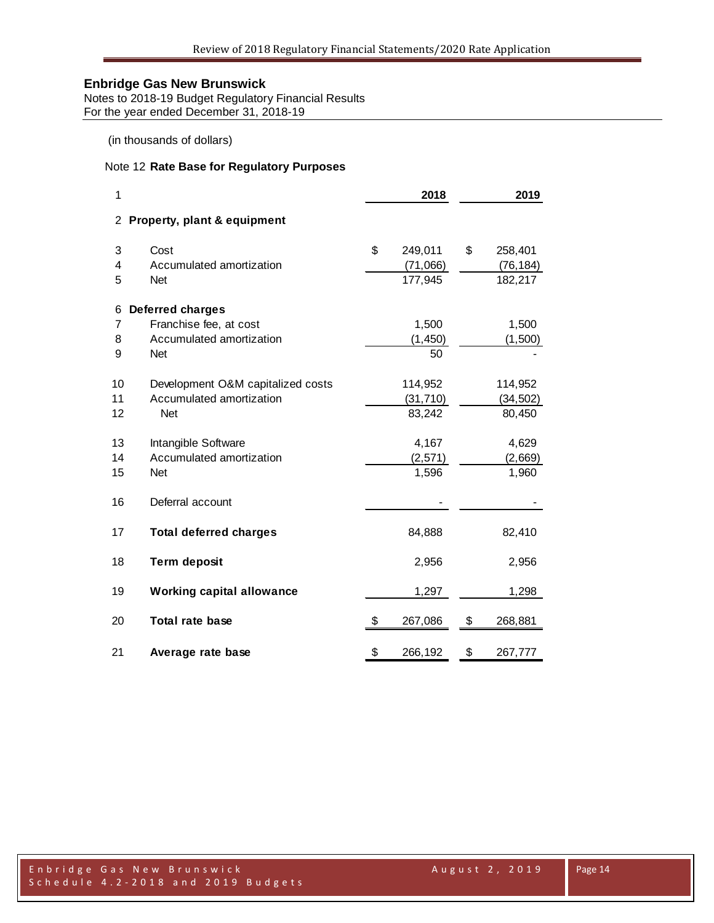Notes to 2018-19 Budget Regulatory Financial Results For the year ended December 31, 2018-19

(in thousands of dollars)

### Note 12 **Rate Base for Regulatory Purposes**

| 1                    |                                   | 2018 |           |    |           |  |  |  |
|----------------------|-----------------------------------|------|-----------|----|-----------|--|--|--|
| $\mathbf{2}^{\circ}$ | Property, plant & equipment       |      |           |    |           |  |  |  |
| 3                    | Cost                              | \$   | 249,011   | \$ | 258,401   |  |  |  |
| 4                    | Accumulated amortization          |      | (71,066)  |    | (76, 184) |  |  |  |
| 5                    | <b>Net</b>                        |      | 177,945   |    | 182,217   |  |  |  |
| 6                    | <b>Deferred charges</b>           |      |           |    |           |  |  |  |
| 7                    | Franchise fee, at cost            |      | 1,500     |    | 1,500     |  |  |  |
| 8                    | Accumulated amortization          |      | (1, 450)  |    | (1,500)   |  |  |  |
| 9                    | <b>Net</b>                        |      | 50        |    |           |  |  |  |
| 10                   | Development O&M capitalized costs |      | 114,952   |    | 114,952   |  |  |  |
| 11                   | Accumulated amortization          |      | (31, 710) |    | (34, 502) |  |  |  |
| 12                   | <b>Net</b>                        |      | 83,242    |    | 80,450    |  |  |  |
| 13                   | Intangible Software               |      | 4,167     |    | 4,629     |  |  |  |
| 14                   | Accumulated amortization          |      | (2, 571)  |    | (2,669)   |  |  |  |
| 15                   | <b>Net</b>                        |      | 1,596     |    | 1,960     |  |  |  |
| 16                   | Deferral account                  |      |           |    |           |  |  |  |
| 17                   | <b>Total deferred charges</b>     |      | 84,888    |    | 82,410    |  |  |  |
| 18                   | <b>Term deposit</b>               |      | 2,956     |    | 2,956     |  |  |  |
| 19                   | <b>Working capital allowance</b>  |      | 1,297     |    | 1,298     |  |  |  |
| 20                   | Total rate base                   | \$   | 267,086   | \$ | 268,881   |  |  |  |
| 21                   | Average rate base                 | \$   | 266,192   | \$ | 267,777   |  |  |  |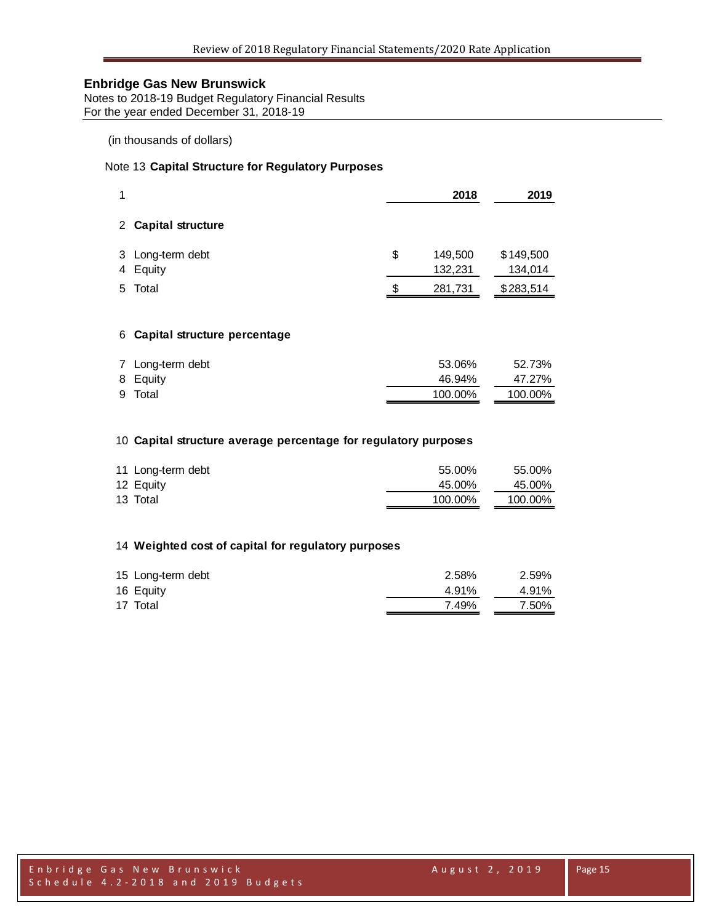Notes to 2018-19 Budget Regulatory Financial Results For the year ended December 31, 2018-19

### (in thousands of dollars)

### Note 13 **Capital Structure for Regulatory Purposes**

| 1           |                                | 2018                     | 2019                 |
|-------------|--------------------------------|--------------------------|----------------------|
|             | 2 Capital structure            |                          |                      |
|             | 3 Long-term debt<br>4 Equity   | \$<br>149,500<br>132,231 | \$149,500<br>134,014 |
|             | 5 Total                        | \$<br>281,731            | \$283,514            |
|             | 6 Capital structure percentage |                          |                      |
| $7^{\circ}$ | Long-term debt                 | 53.06%                   | 52.73%               |

|  | 9 Total  | 100.00% | 100.00% |
|--|----------|---------|---------|
|  | 8 Equity | 46.94%  | 47.27%  |

#### **Capital structure average percentage for regulatory purposes**

|           | 11 Long-term debt | 55.00%  | 55.00%  |
|-----------|-------------------|---------|---------|
| 12 Equity |                   | 45.00%  | 45.00%  |
| 13 Total  |                   | 100.00% | 100.00% |

### **Weighted cost of capital for regulatory purposes**

| 15 Long-term debt | 2.58% | 2.59% |
|-------------------|-------|-------|
| 16 Equity         | 4.91% | 4.91% |
| 17 Total          | 7.49% | 7.50% |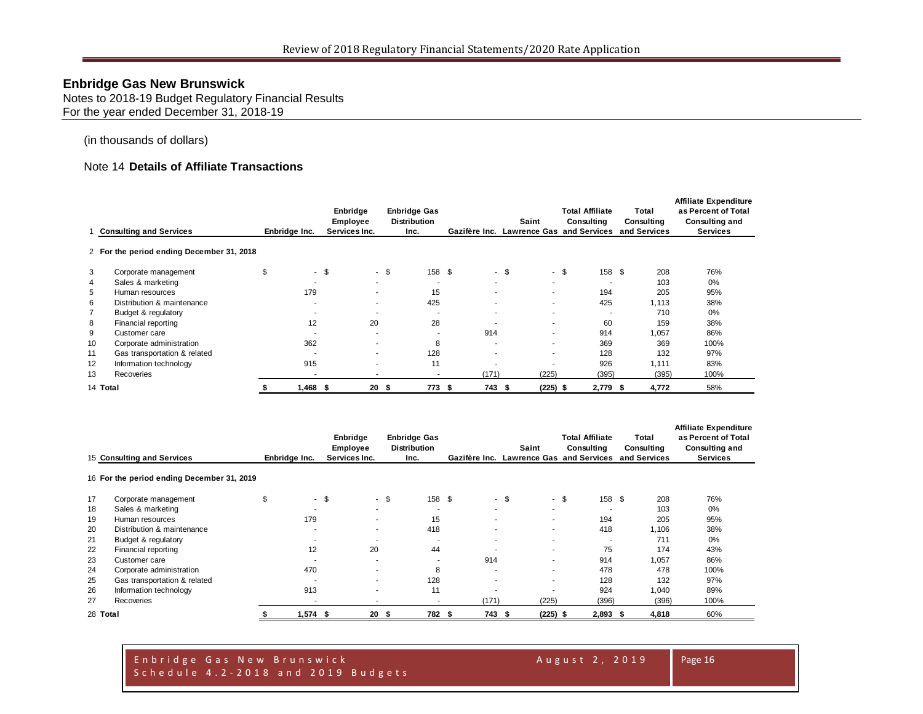Notes to 2018-19 Budget Regulatory Financial Results For the year ended December 31, 2018-19

#### (in thousands of dollars)

### Note 14 **Details of Affiliate Transactions**

|                |                                           |                          | Enbridge<br>Employee     | <b>Enbridge Gas</b><br><b>Distribution</b> |                          | Saint                                   | <b>Total Affiliate</b><br>Consulting | Total<br>Consulting | <b>Affiliate Expenditure</b><br>as Percent of Total<br><b>Consulting and</b> |
|----------------|-------------------------------------------|--------------------------|--------------------------|--------------------------------------------|--------------------------|-----------------------------------------|--------------------------------------|---------------------|------------------------------------------------------------------------------|
|                | <b>Consulting and Services</b>            | Enbridge Inc.            | Services Inc.            | Inc.                                       |                          | Gazifère Inc. Lawrence Gas and Services |                                      | and Services        | <b>Services</b>                                                              |
|                | 2 For the period ending December 31, 2018 |                          |                          |                                            |                          |                                         |                                      |                     |                                                                              |
| 3              | Corporate management                      |                          | $-$ \$<br>$\sim$         | 158 \$<br>- \$                             |                          | - \$                                    | - \$<br>158 \$                       | 208                 | 76%                                                                          |
| 4              | Sales & marketing                         | $\overline{\phantom{a}}$ | $\sim$                   | ۰                                          | $\overline{\phantom{a}}$ | ۰                                       | $\overline{\phantom{a}}$             | 103                 | 0%                                                                           |
| 5              | Human resources                           | 179                      | ٠                        | 15                                         |                          |                                         | 194                                  | 205                 | 95%                                                                          |
| 6              | Distribution & maintenance                | ۰                        | $\sim$                   | 425                                        |                          |                                         | 425                                  | 1.113               | 38%                                                                          |
| $\overline{7}$ | Budget & regulatory                       |                          | ٠                        | ۰                                          |                          |                                         | $\overline{\phantom{a}}$             | 710                 | 0%                                                                           |
| 8              | Financial reporting                       | 12                       | 20                       | 28                                         |                          | ۰.                                      | 60                                   | 159                 | 38%                                                                          |
| 9              | Customer care                             |                          | . .                      | $\overline{\phantom{a}}$                   | 914                      |                                         | 914                                  | 1,057               | 86%                                                                          |
| 10             | Corporate administration                  | 362                      | $\overline{\phantom{a}}$ | 8                                          |                          | ۰                                       | 369                                  | 369                 | 100%                                                                         |
| 11             | Gas transportation & related              |                          | $\overline{\phantom{a}}$ | 128                                        |                          |                                         | 128                                  | 132                 | 97%                                                                          |
| 12             | Information technology                    | 915                      | ۰                        | 11                                         |                          |                                         | 926                                  | 1,111               | 83%                                                                          |
| 13             | Recoveries                                | $\overline{\phantom{a}}$ | $\overline{\phantom{a}}$ |                                            | (171)                    | (225)                                   | (395)                                | (395)               | 100%                                                                         |
| 14 Total       |                                           | $1,468$ \$               | $20-5$                   | 773                                        | 743 \$<br>- 5            | $(225)$ \$                              | 2,779 \$                             | 4,772               | 58%                                                                          |

|          |                                            |                          | Enbridge<br>Employee     | <b>Enbridge Gas</b><br><b>Distribution</b> |               | Saint                            | <b>Total Affiliate</b><br>Consulting | Total<br>Consulting | <b>Affiliate Expenditure</b><br>as Percent of Total<br><b>Consulting and</b> |
|----------|--------------------------------------------|--------------------------|--------------------------|--------------------------------------------|---------------|----------------------------------|--------------------------------------|---------------------|------------------------------------------------------------------------------|
|          | 15 Consulting and Services                 | Enbridge Inc.            | Services Inc.            | Inc.                                       | Gazifère Inc. | <b>Lawrence Gas and Services</b> |                                      | and Services        | <b>Services</b>                                                              |
|          | 16 For the period ending December 31, 2019 |                          |                          |                                            |               |                                  |                                      |                     |                                                                              |
| 17       | Corporate management                       | \$                       | - \$                     | 158 \$<br>$-$ \$                           |               | - \$<br>$\sim$                   | 158 \$<br>\$                         | 208                 | 76%                                                                          |
| 18       | Sales & marketing                          | $\overline{\phantom{a}}$ |                          | <b>умер</b>                                | $\sim$        | $\sim$                           |                                      | 103                 | 0%                                                                           |
| 19       | Human resources                            | 179                      |                          | 15                                         |               | ۰.                               | 194                                  | 205                 | 95%                                                                          |
| 20       | Distribution & maintenance                 |                          | ٠                        | 418                                        |               | ٠                                | 418                                  | 1,106               | 38%                                                                          |
| 21       | Budget & regulatory                        |                          | $\overline{\phantom{a}}$ | $\overline{\phantom{a}}$                   |               | ۰                                |                                      | 711                 | 0%                                                                           |
| 22       | Financial reporting                        | 12                       | 20                       | 44                                         |               | ٠                                | 75                                   | 174                 | 43%                                                                          |
| 23       | Customer care                              |                          |                          |                                            | 914           |                                  | 914                                  | 1,057               | 86%                                                                          |
| 24       | Corporate administration                   | 470                      |                          | 8                                          | $\sim$        | ٠                                | 478                                  | 478                 | 100%                                                                         |
| 25       | Gas transportation & related               |                          | $\overline{\phantom{a}}$ | 128                                        |               | ٠                                | 128                                  | 132                 | 97%                                                                          |
| 26       | Information technology                     | 913                      | $\overline{\phantom{a}}$ | 11                                         |               |                                  | 924                                  | 1,040               | 89%                                                                          |
| 27       | Recoveries                                 |                          |                          |                                            | (171)         | (225)                            | (396)                                | (396)               | 100%                                                                         |
| 28 Total |                                            | $1,574$ \$               | 20                       | 782 \$<br>- 55                             | 743 \$        | $(225)$ \$                       | $2,893$ \$                           | 4,818               | 60%                                                                          |

#### Enbridge Gas New Brunswick August 2, 2019 Schedule 4.2 - 2018 and 2019 Budgets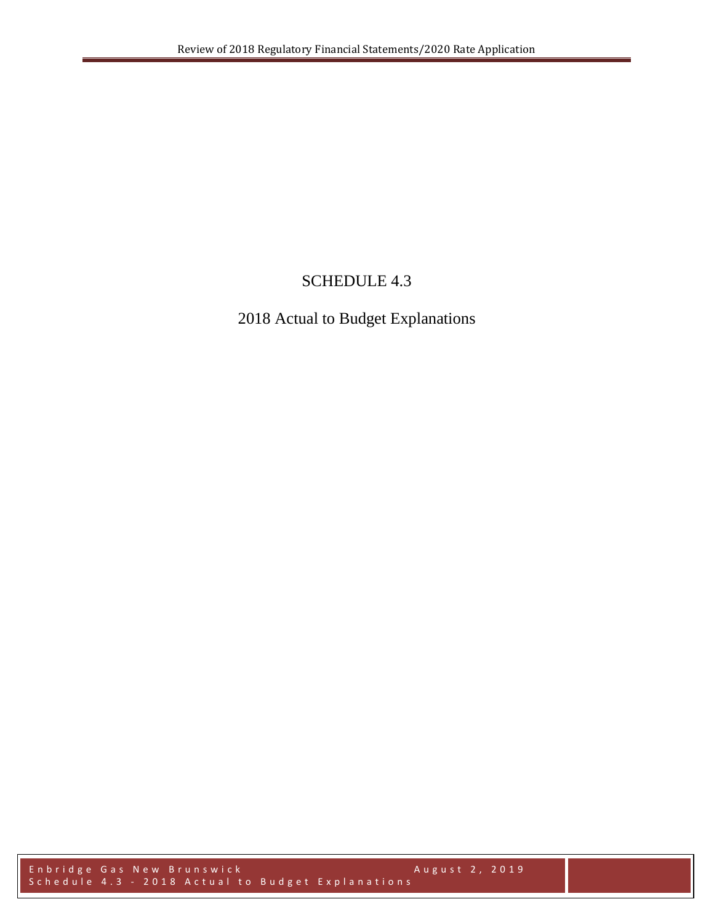# SCHEDULE 4.3

# 2018 Actual to Budget Explanations

Enbridge Gas New Brunswick August 2, 2019 Schedule 4.3 - 2018 Actual to Budget Explanations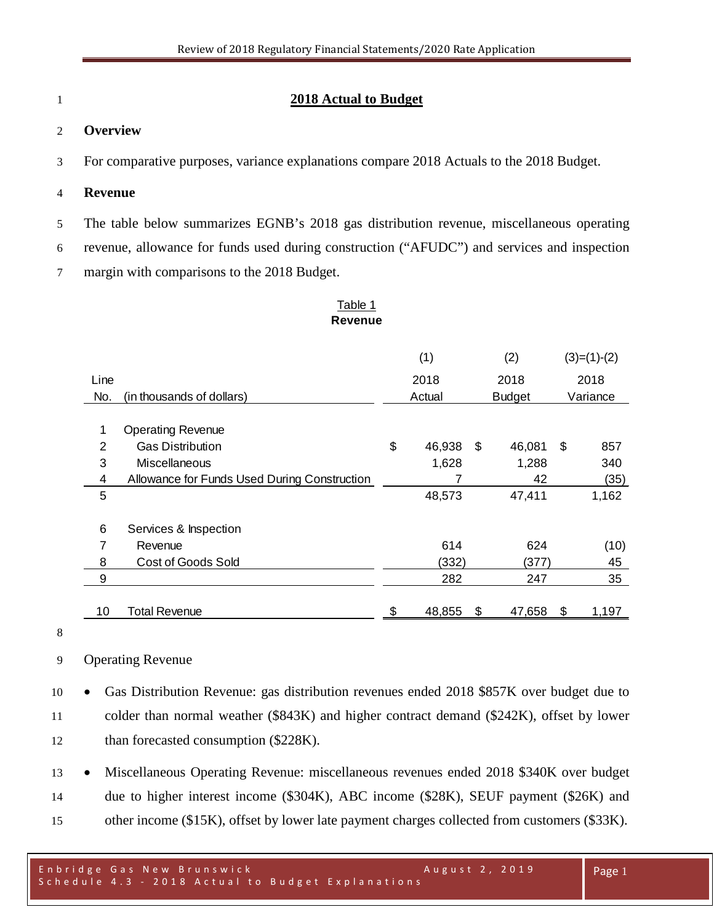# **2018 Actual to Budget**

# **Overview**

For comparative purposes, variance explanations compare 2018 Actuals to the 2018 Budget.

## **Revenue**

The table below summarizes EGNB's 2018 gas distribution revenue, miscellaneous operating

revenue, allowance for funds used during construction ("AFUDC") and services and inspection

margin with comparisons to the 2018 Budget.

#### Table 1 **Revenue**

|                |                                              |              | (1)    | (2)    |               |          | $(3)=(1)-(2)$ |
|----------------|----------------------------------------------|--------------|--------|--------|---------------|----------|---------------|
| Line           |                                              | 2018<br>2018 |        |        |               | 2018     |               |
| No.            | (in thousands of dollars)                    |              | Actual |        | <b>Budget</b> | Variance |               |
|                |                                              |              |        |        |               |          |               |
| 1              | <b>Operating Revenue</b>                     |              |        |        |               |          |               |
| $\overline{2}$ | <b>Gas Distribution</b>                      | \$           | 46,938 | \$     | 46,081        | \$       | 857           |
| 3              | Miscellaneous                                |              | 1,628  |        | 1,288         |          | 340           |
| 4              | Allowance for Funds Used During Construction |              |        |        | 42            |          | (35)          |
| 5              |                                              |              | 48,573 | 47,411 |               |          | 1,162         |
|                |                                              |              |        |        |               |          |               |
| 6              | Services & Inspection                        |              |        |        |               |          |               |
| 7              | Revenue                                      |              | 614    |        | 624           |          | (10)          |
| 8              | Cost of Goods Sold                           |              | (332)  |        | (377)         |          | 45            |
| 9              |                                              |              | 282    | 247    |               |          | 35            |
|                |                                              |              |        |        |               |          |               |
| 10             | Total Revenue                                | \$           | 48,855 | \$     | 47,658        | \$       | 1,197         |

# Operating Revenue

 • Gas Distribution Revenue: gas distribution revenues ended 2018 \$857K over budget due to colder than normal weather (\$843K) and higher contract demand (\$242K), offset by lower 12 than forecasted consumption (\$228K).

 • Miscellaneous Operating Revenue: miscellaneous revenues ended 2018 \$340K over budget due to higher interest income (\$304K), ABC income (\$28K), SEUF payment (\$26K) and other income (\$15K), offset by lower late payment charges collected from customers (\$33K).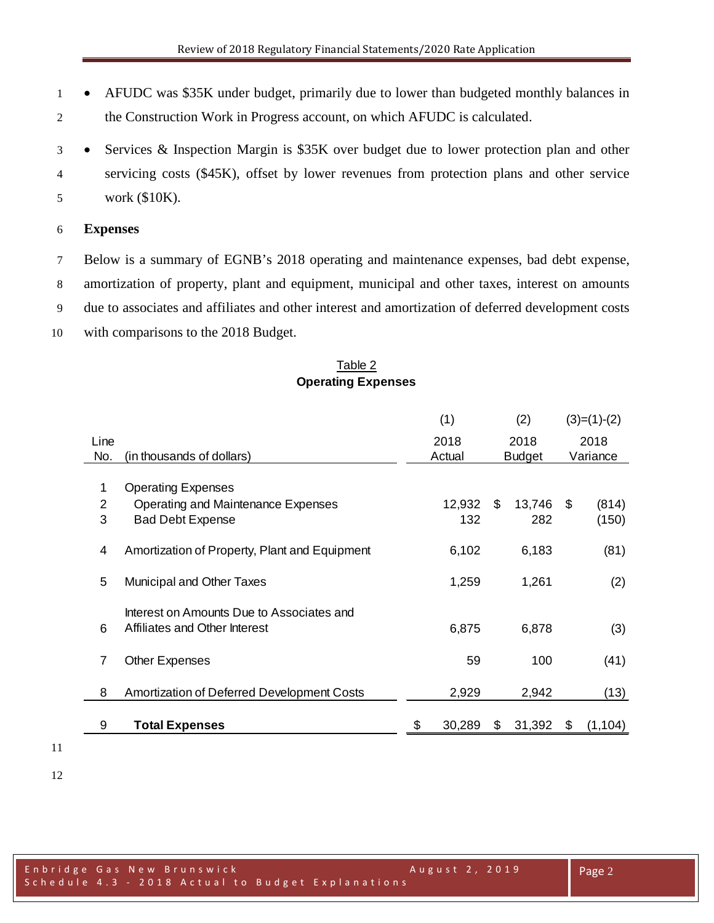• AFUDC was \$35K under budget, primarily due to lower than budgeted monthly balances in the Construction Work in Progress account, on which AFUDC is calculated.

 • Services & Inspection Margin is \$35K over budget due to lower protection plan and other servicing costs (\$45K), offset by lower revenues from protection plans and other service work (\$10K).

# **Expenses**

 Below is a summary of EGNB's 2018 operating and maintenance expenses, bad debt expense, amortization of property, plant and equipment, municipal and other taxes, interest on amounts due to associates and affiliates and other interest and amortization of deferred development costs with comparisons to the 2018 Budget.

# Table 2 **Operating Expenses**

|                |                                                                            |       | (1)    |    | (2)           |          | $(3)=(1)-(2)$ |
|----------------|----------------------------------------------------------------------------|-------|--------|----|---------------|----------|---------------|
| Line           |                                                                            |       | 2018   |    | 2018          | 2018     |               |
| No.            | (in thousands of dollars)                                                  |       | Actual |    | <b>Budget</b> | Variance |               |
| 1              | <b>Operating Expenses</b>                                                  |       |        |    |               |          |               |
| $\overline{2}$ | Operating and Maintenance Expenses                                         |       | 12,932 | \$ | 13,746        | - \$     | (814)         |
| 3              | <b>Bad Debt Expense</b>                                                    |       | 132    |    | 282           |          | (150)         |
|                |                                                                            |       |        |    |               |          |               |
| 4              | Amortization of Property, Plant and Equipment                              |       | 6,102  |    | 6,183         |          | (81)          |
| 5              | Municipal and Other Taxes                                                  | 1,259 |        |    | 1,261         |          | (2)           |
| 6              | Interest on Amounts Due to Associates and<br>Affiliates and Other Interest |       | 6,875  |    | 6,878         |          | (3)           |
| 7              | <b>Other Expenses</b>                                                      |       | 59     |    | 100           |          | (41)          |
| 8              | <b>Amortization of Deferred Development Costs</b>                          |       | 2,929  |    | 2,942         |          | (13)          |
| 9              | <b>Total Expenses</b>                                                      | \$    | 30,289 | \$ | 31,392        | \$       | (1, 104)      |

- 
-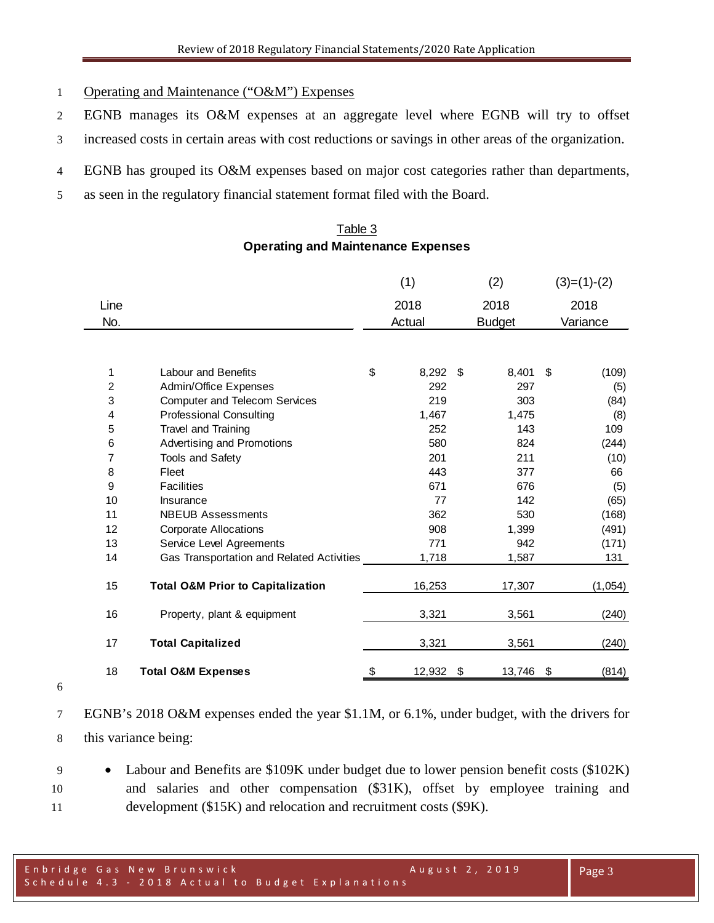- Operating and Maintenance ("O&M") Expenses
- EGNB manages its O&M expenses at an aggregate level where EGNB will try to offset
- increased costs in certain areas with cost reductions or savings in other areas of the organization.
- EGNB has grouped its O&M expenses based on major cost categories rather than departments,
- as seen in the regulatory financial statement format filed with the Board.

# Table 3 **Operating and Maintenance Expenses**

|                |                                              | (1)          | (2)           | $(3)=(1)-(2)$ |
|----------------|----------------------------------------------|--------------|---------------|---------------|
| Line           |                                              | 2018         | 2018          | 2018          |
| No.            |                                              | Actual       | <b>Budget</b> | Variance      |
|                |                                              |              |               |               |
| 1              | <b>Labour and Benefits</b>                   | \$<br>8,292  | \$<br>8,401   | \$<br>(109)   |
| $\overline{c}$ | Admin/Office Expenses                        | 292          | 297           | (5)           |
| 3              | <b>Computer and Telecom Services</b>         | 219          | 303           | (84)          |
| 4              | <b>Professional Consulting</b>               | 1,467        | 1,475         | (8)           |
| 5              | Travel and Training                          | 252          | 143           | 109           |
| 6              | Advertising and Promotions                   | 580          | 824           | (244)         |
| 7              | <b>Tools and Safety</b>                      | 201          | 211           | (10)          |
| 8              | Fleet                                        | 443          | 377           | 66            |
| 9              | <b>Facilities</b>                            | 671          | 676           | (5)           |
| 10             | Insurance                                    | 77           | 142           | (65)          |
| 11             | <b>NBEUB Assessments</b>                     | 362          | 530           | (168)         |
| 12             | <b>Corporate Allocations</b>                 | 908          | 1,399         | (491)         |
| 13             | Service Level Agreements                     | 771          | 942           | (171)         |
| 14             | Gas Transportation and Related Activities    | 1,718        | 1,587         | 131           |
| 15             | <b>Total O&amp;M Prior to Capitalization</b> | 16,253       | 17,307        | (1,054)       |
| 16             | Property, plant & equipment                  | 3,321        | 3,561         | (240)         |
| 17             | <b>Total Capitalized</b>                     | 3,321        | 3,561         | (240)         |
| 18             | <b>Total O&amp;M Expenses</b>                | \$<br>12,932 | \$<br>13,746  | \$<br>(814)   |

 EGNB's 2018 O&M expenses ended the year \$1.1M, or 6.1%, under budget, with the drivers for this variance being:

 • Labour and Benefits are \$109K under budget due to lower pension benefit costs (\$102K) and salaries and other compensation (\$31K), offset by employee training and development (\$15K) and relocation and recruitment costs (\$9K).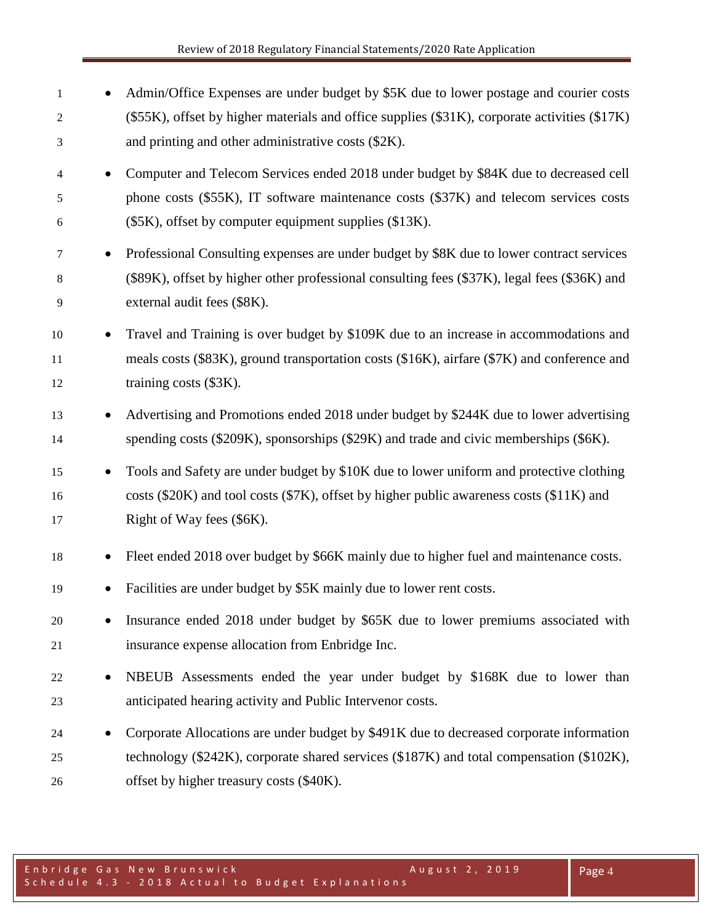- 1 Admin/Office Expenses are under budget by \$5K due to lower postage and courier costs (\$55K), offset by higher materials and office supplies (\$31K), corporate activities (\$17K) and printing and other administrative costs (\$2K).
- Computer and Telecom Services ended 2018 under budget by \$84K due to decreased cell phone costs (\$55K), IT software maintenance costs (\$37K) and telecom services costs (\$5K), offset by computer equipment supplies (\$13K).
- Professional Consulting expenses are under budget by \$8K due to lower contract services (\$89K), offset by higher other professional consulting fees (\$37K), legal fees (\$36K) and external audit fees (\$8K).
- Travel and Training is over budget by \$109K due to an increase in accommodations and meals costs (\$83K), ground transportation costs (\$16K), airfare (\$7K) and conference and 12 training costs (\$3K).
- <sup>13</sup> Advertising and Promotions ended 2018 under budget by \$244K due to lower advertising spending costs (\$209K), sponsorships (\$29K) and trade and civic memberships (\$6K).
- Tools and Safety are under budget by \$10K due to lower uniform and protective clothing costs (\$20K) and tool costs (\$7K), offset by higher public awareness costs (\$11K) and 17 Right of Way fees (\$6K).
- Fleet ended 2018 over budget by \$66K mainly due to higher fuel and maintenance costs.
- Facilities are under budget by \$5K mainly due to lower rent costs.
- Insurance ended 2018 under budget by \$65K due to lower premiums associated with insurance expense allocation from Enbridge Inc.
- NBEUB Assessments ended the year under budget by \$168K due to lower than anticipated hearing activity and Public Intervenor costs.
- Corporate Allocations are under budget by \$491K due to decreased corporate information technology (\$242K), corporate shared services (\$187K) and total compensation (\$102K), offset by higher treasury costs (\$40K).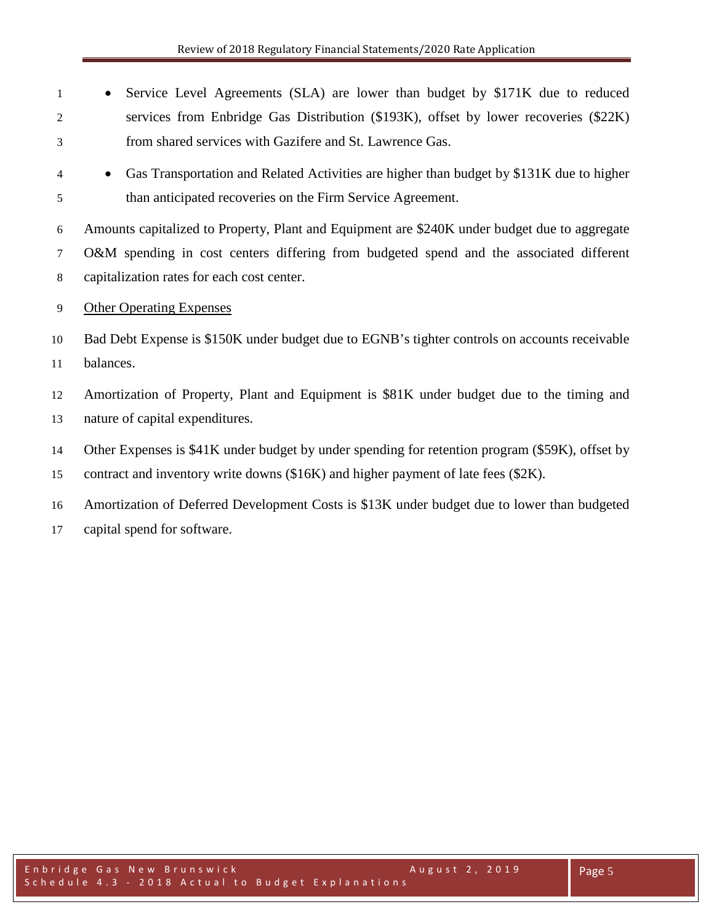- Service Level Agreements (SLA) are lower than budget by \$171K due to reduced services from Enbridge Gas Distribution (\$193K), offset by lower recoveries (\$22K) from shared services with Gazifere and St. Lawrence Gas.
- Gas Transportation and Related Activities are higher than budget by \$131K due to higher than anticipated recoveries on the Firm Service Agreement.

 Amounts capitalized to Property, Plant and Equipment are \$240K under budget due to aggregate O&M spending in cost centers differing from budgeted spend and the associated different capitalization rates for each cost center.

Other Operating Expenses

 Bad Debt Expense is \$150K under budget due to EGNB's tighter controls on accounts receivable balances.

 Amortization of Property, Plant and Equipment is \$81K under budget due to the timing and nature of capital expenditures.

Other Expenses is \$41K under budget by under spending for retention program (\$59K), offset by

contract and inventory write downs (\$16K) and higher payment of late fees (\$2K).

Amortization of Deferred Development Costs is \$13K under budget due to lower than budgeted

capital spend for software.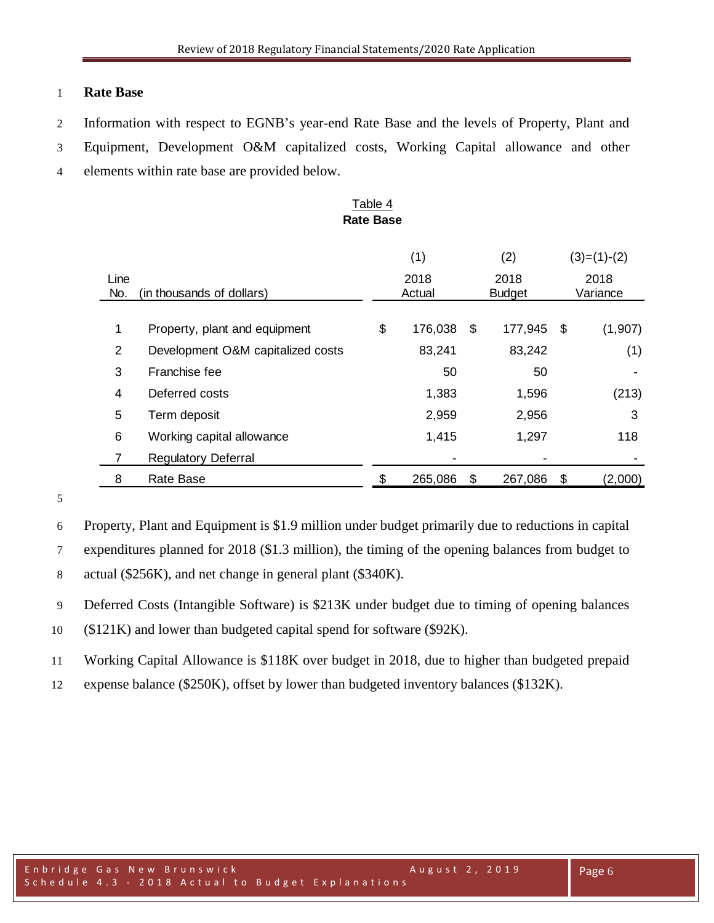# **Rate Base**

- Information with respect to EGNB's year-end Rate Base and the levels of Property, Plant and
- Equipment, Development O&M capitalized costs, Working Capital allowance and other
- elements within rate base are provided below.

# Table 4 **Rate Base**

|                |                                   | (1) |         |    | (2)           |      | $(3)=(1)-(2)$ |  |  |
|----------------|-----------------------------------|-----|---------|----|---------------|------|---------------|--|--|
| Line           |                                   |     | 2018    |    | 2018          | 2018 |               |  |  |
| No.            | (in thousands of dollars)         |     | Actual  |    | <b>Budget</b> |      | Variance      |  |  |
| 1              | Property, plant and equipment     | \$  | 176,038 | \$ | 177,945       | -\$  | (1,907)       |  |  |
| 2              | Development O&M capitalized costs |     | 83,241  |    | 83,242        |      | (1)           |  |  |
| 3              | Franchise fee                     |     | 50      |    | 50            |      |               |  |  |
| 4              | Deferred costs                    |     | 1,383   |    | 1,596         |      | (213)         |  |  |
| 5              | Term deposit                      |     | 2,959   |    | 2,956         |      | 3             |  |  |
| 6              | Working capital allowance         |     | 1,415   |    | 1,297         |      | 118           |  |  |
| $\overline{7}$ | <b>Regulatory Deferral</b>        |     |         |    |               |      |               |  |  |
| 8              | Rate Base                         |     | 265,086 | S  | 267,086       | \$   | (2,000)       |  |  |

Property, Plant and Equipment is \$1.9 million under budget primarily due to reductions in capital

expenditures planned for 2018 (\$1.3 million), the timing of the opening balances from budget to

actual (\$256K), and net change in general plant (\$340K).

Deferred Costs (Intangible Software) is \$213K under budget due to timing of opening balances

(\$121K) and lower than budgeted capital spend for software (\$92K).

Working Capital Allowance is \$118K over budget in 2018, due to higher than budgeted prepaid

expense balance (\$250K), offset by lower than budgeted inventory balances (\$132K).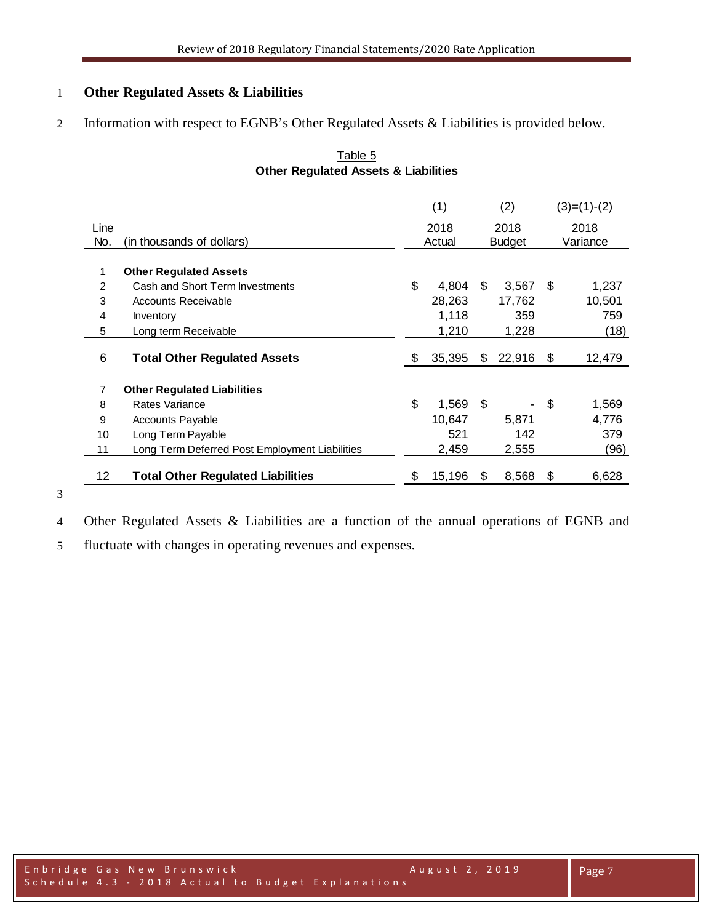# **Other Regulated Assets & Liabilities**

Information with respect to EGNB's Other Regulated Assets & Liabilities is provided below.

|              |                                                |        | (1)    |               | (2)    |          | $(3)=(1)-(2)$ |
|--------------|------------------------------------------------|--------|--------|---------------|--------|----------|---------------|
| Line         |                                                |        | 2018   |               | 2018   |          | 2018          |
| No.          | (in thousands of dollars)                      | Actual |        | <b>Budget</b> |        | Variance |               |
|              |                                                |        |        |               |        |          |               |
| $\mathbf{1}$ | <b>Other Regulated Assets</b>                  |        |        |               |        |          |               |
| 2            | Cash and Short Term Investments                | \$     | 4,804  | \$            | 3,567  | \$       | 1,237         |
| 3            | <b>Accounts Receivable</b>                     |        | 28,263 |               | 17,762 |          | 10,501        |
| 4            | Inventory                                      |        | 1,118  |               | 359    |          | 759           |
| 5            | Long term Receivable                           |        | 1,210  |               | 1,228  |          | (18)          |
|              |                                                |        |        |               |        |          |               |
| 6            | <b>Total Other Regulated Assets</b>            | \$     | 35,395 | \$            | 22,916 | \$       | 12,479        |
|              |                                                |        |        |               |        |          |               |
| 7            | <b>Other Regulated Liabilities</b>             |        |        |               |        |          |               |
| 8            | Rates Variance                                 | \$     | 1,569  | \$            |        | -\$      | 1,569         |
| 9            | <b>Accounts Payable</b>                        |        | 10,647 |               | 5.871  |          | 4,776         |
| 10           | Long Term Payable                              |        | 521    |               | 142    |          | 379           |
| 11           | Long Term Deferred Post Employment Liabilities |        | 2,459  |               | 2,555  |          | (96)          |
|              |                                                |        |        |               |        |          |               |
| 12           | <b>Total Other Regulated Liabilities</b>       | \$     | 15,196 | S             | 8,568  | \$       | 6,628         |

# Table 5 **Other Regulated Assets & Liabilities**

Other Regulated Assets & Liabilities are a function of the annual operations of EGNB and

fluctuate with changes in operating revenues and expenses.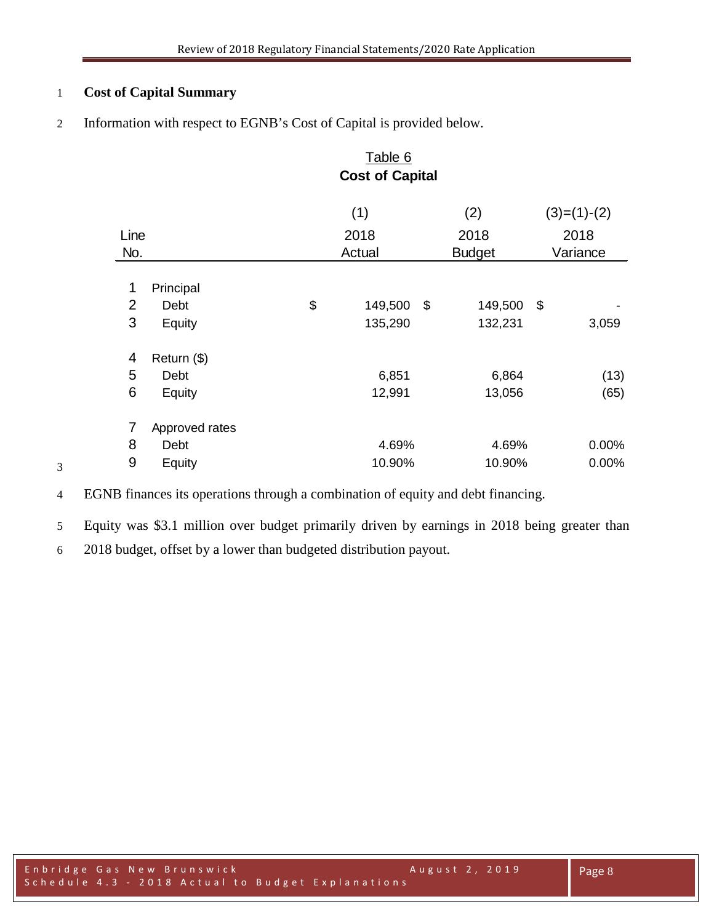# **Cost of Capital Summary**

Information with respect to EGNB's Cost of Capital is provided below.

| Table 6                |                |    |         |    |               |               |  |
|------------------------|----------------|----|---------|----|---------------|---------------|--|
| <b>Cost of Capital</b> |                |    |         |    |               |               |  |
|                        |                |    | (1)     |    | (2)           | $(3)=(1)-(2)$ |  |
| Line                   |                |    | 2018    |    | 2018          | 2018          |  |
| No.                    |                |    | Actual  |    | <b>Budget</b> | Variance      |  |
|                        |                |    |         |    |               |               |  |
| 1                      | Principal      |    |         |    |               |               |  |
| $\overline{2}$         | Debt           | \$ | 149,500 | \$ | 149,500       | \$            |  |
| 3                      | Equity         |    | 135,290 |    | 132,231       | 3,059         |  |
| 4                      | Return (\$)    |    |         |    |               |               |  |
| 5                      | Debt           |    | 6,851   |    | 6,864         | (13)          |  |
| 6                      | Equity         |    | 12,991  |    | 13,056        | (65)          |  |
| 7                      | Approved rates |    |         |    |               |               |  |
| 8                      | Debt           |    | 4.69%   |    | 4.69%         | $0.00\%$      |  |
| 9                      | Equity         |    | 10.90%  |    | 10.90%        | 0.00%         |  |

- EGNB finances its operations through a combination of equity and debt financing.
- Equity was \$3.1 million over budget primarily driven by earnings in 2018 being greater than
- 2018 budget, offset by a lower than budgeted distribution payout.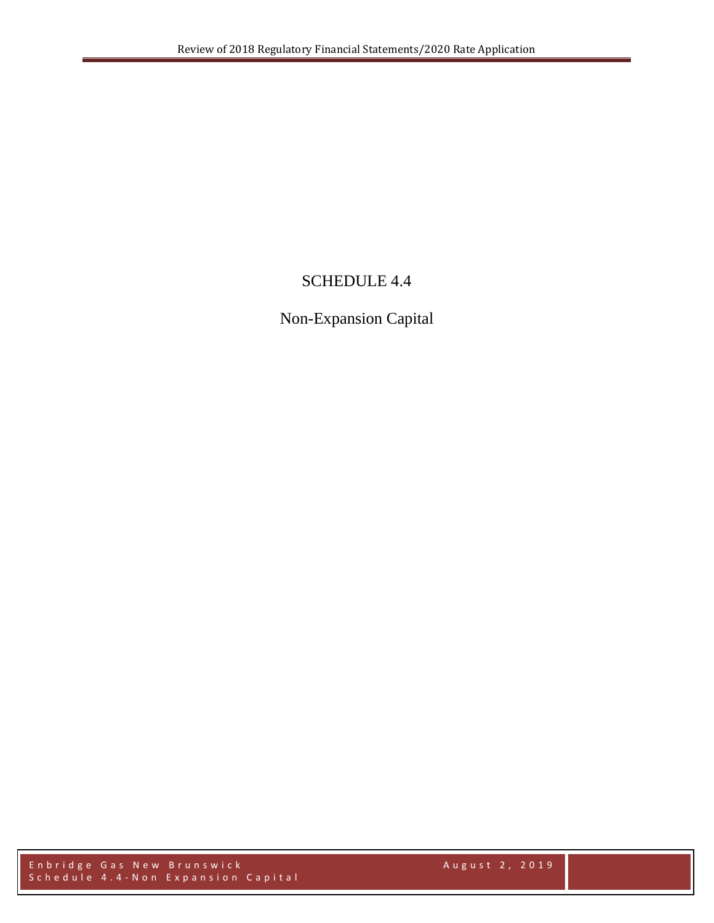# SCHEDULE 4.4

# Non-Expansion Capital

Enbridge Gas New Brunswick August 2, 2019 Schedule 4.4 - Non Expansion Capital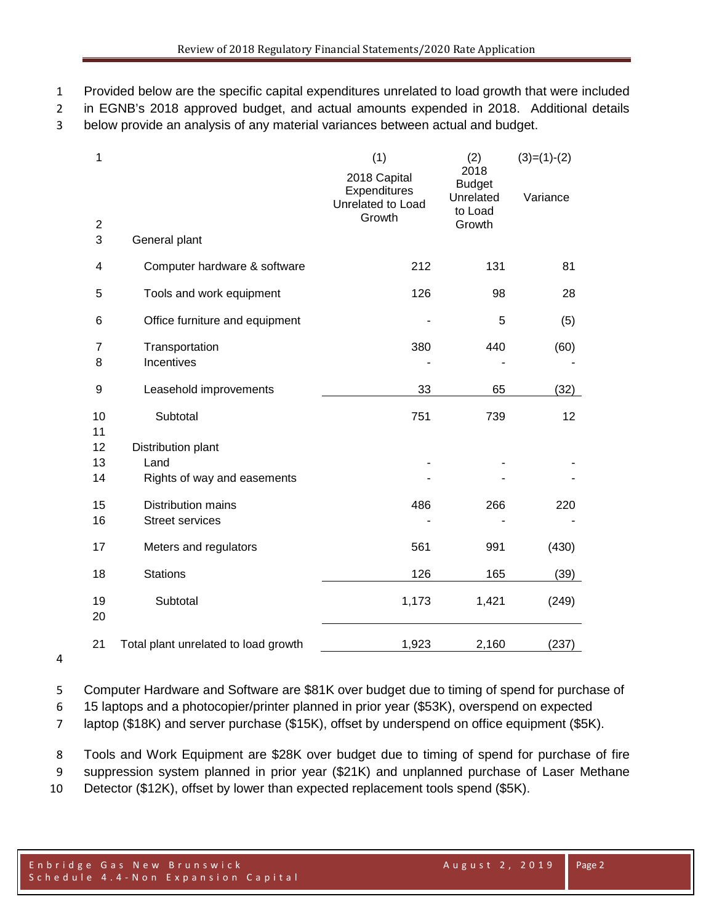- Provided below are the specific capital expenditures unrelated to load growth that were included
- in EGNB's 2018 approved budget, and actual amounts expended in 2018. Additional details
- below provide an analysis of any material variances between actual and budget.

| 1        |                                                     | (1)<br>2018 Capital<br>Expenditures<br>Unrelated to Load | (2)<br>2018<br><b>Budget</b><br>Unrelated<br>to Load | $(3)=(1)-(2)$<br>Variance |
|----------|-----------------------------------------------------|----------------------------------------------------------|------------------------------------------------------|---------------------------|
| 2<br>3   | General plant                                       | Growth                                                   | Growth                                               |                           |
| 4        | Computer hardware & software                        | 212                                                      | 131                                                  | 81                        |
| 5        | Tools and work equipment                            | 126                                                      | 98                                                   | 28                        |
| 6        | Office furniture and equipment                      |                                                          | 5                                                    | (5)                       |
| 7<br>8   | Transportation<br>Incentives                        | 380                                                      | 440                                                  | (60)                      |
| 9        | Leasehold improvements                              | 33                                                       | 65                                                   | (32)                      |
| 10<br>11 | Subtotal                                            | 751                                                      | 739                                                  | 12                        |
| 12       | Distribution plant                                  |                                                          |                                                      |                           |
| 13<br>14 | Land<br>Rights of way and easements                 |                                                          |                                                      |                           |
| 15<br>16 | <b>Distribution mains</b><br><b>Street services</b> | 486                                                      | 266                                                  | 220                       |
| 17       | Meters and regulators                               | 561                                                      | 991                                                  | (430)                     |
| 18       | <b>Stations</b>                                     | 126                                                      | 165                                                  | (39)                      |
| 19<br>20 | Subtotal                                            | 1,173                                                    | 1,421                                                | (249)                     |
| 21       | Total plant unrelated to load growth                | 1,923                                                    | 2,160                                                | (237)                     |

Computer Hardware and Software are \$81K over budget due to timing of spend for purchase of

15 laptops and a photocopier/printer planned in prior year (\$53K), overspend on expected

laptop (\$18K) and server purchase (\$15K), offset by underspend on office equipment (\$5K).

Tools and Work Equipment are \$28K over budget due to timing of spend for purchase of fire

suppression system planned in prior year (\$21K) and unplanned purchase of Laser Methane

Detector (\$12K), offset by lower than expected replacement tools spend (\$5K).